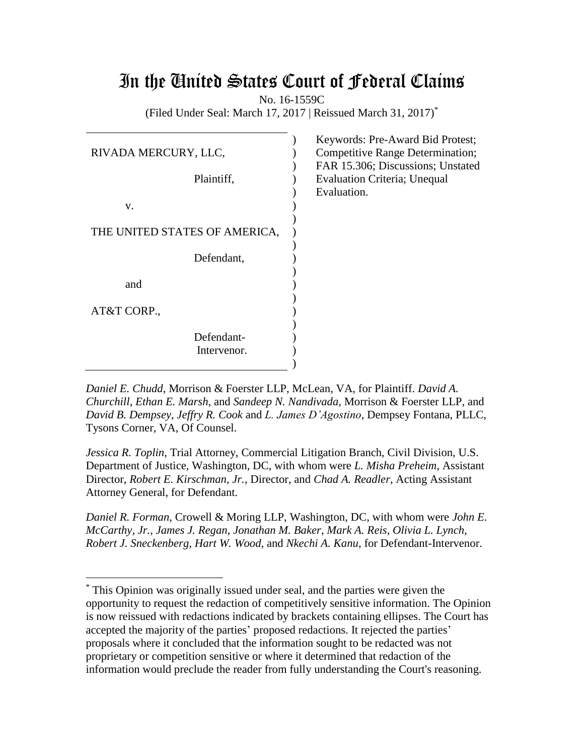# In the United States Court of Federal Claims

No. 16-1559C

(Filed Under Seal: March 17, 2017 | Reissued March 31, 2017) \*

| RIVADA MERCURY, LLC,          |  |
|-------------------------------|--|
| Plaintiff,                    |  |
| v.                            |  |
| THE UNITED STATES OF AMERICA, |  |
| Defendant,                    |  |
| and                           |  |
| AT&T CORP.,                   |  |
| Defendant-                    |  |
| Intervenor.                   |  |

 $\overline{a}$ 

Keywords: Pre-Award Bid Protest; Competitive Range Determination; FAR 15.306; Discussions; Unstated Evaluation Criteria; Unequal Evaluation.

*Daniel E. Chudd*, Morrison & Foerster LLP, McLean, VA, for Plaintiff. *David A. Churchill*, *Ethan E. Marsh*, and *Sandeep N. Nandivada*, Morrison & Foerster LLP, and *David B. Dempsey*, *Jeffry R. Cook* and *L. James D'Agostino*, Dempsey Fontana, PLLC, Tysons Corner, VA, Of Counsel.

*Jessica R. Toplin*, Trial Attorney, Commercial Litigation Branch, Civil Division, U.S. Department of Justice, Washington, DC, with whom were *L. Misha Preheim*, Assistant Director, *Robert E. Kirschman, Jr.*, Director, and *Chad A. Readler*, Acting Assistant Attorney General, for Defendant.

*Daniel R. Forman*, Crowell & Moring LLP, Washington, DC, with whom were *John E. McCarthy, Jr.*, *James J. Regan*, *Jonathan M. Baker*, *Mark A. Reis*, *Olivia L. Lynch*, *Robert J. Sneckenberg*, *Hart W. Wood*, and *Nkechi A. Kanu*, for Defendant-Intervenor.

<sup>\*</sup> This Opinion was originally issued under seal, and the parties were given the opportunity to request the redaction of competitively sensitive information. The Opinion is now reissued with redactions indicated by brackets containing ellipses. The Court has accepted the majority of the parties' proposed redactions. It rejected the parties' proposals where it concluded that the information sought to be redacted was not proprietary or competition sensitive or where it determined that redaction of the information would preclude the reader from fully understanding the Court's reasoning.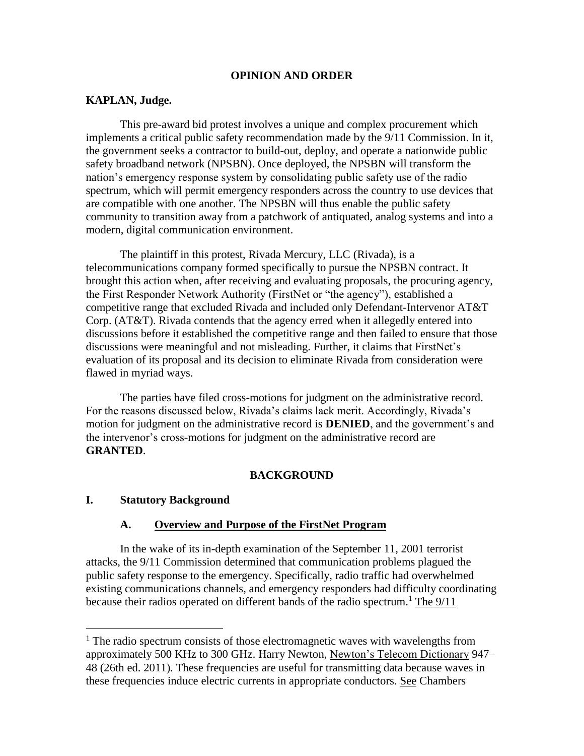#### **OPINION AND ORDER**

#### **KAPLAN, Judge.**

This pre-award bid protest involves a unique and complex procurement which implements a critical public safety recommendation made by the 9/11 Commission. In it, the government seeks a contractor to build-out, deploy, and operate a nationwide public safety broadband network (NPSBN). Once deployed, the NPSBN will transform the nation's emergency response system by consolidating public safety use of the radio spectrum, which will permit emergency responders across the country to use devices that are compatible with one another. The NPSBN will thus enable the public safety community to transition away from a patchwork of antiquated, analog systems and into a modern, digital communication environment.

The plaintiff in this protest, Rivada Mercury, LLC (Rivada), is a telecommunications company formed specifically to pursue the NPSBN contract. It brought this action when, after receiving and evaluating proposals, the procuring agency, the First Responder Network Authority (FirstNet or "the agency"), established a competitive range that excluded Rivada and included only Defendant-Intervenor AT&T Corp. (AT&T). Rivada contends that the agency erred when it allegedly entered into discussions before it established the competitive range and then failed to ensure that those discussions were meaningful and not misleading. Further, it claims that FirstNet's evaluation of its proposal and its decision to eliminate Rivada from consideration were flawed in myriad ways.

The parties have filed cross-motions for judgment on the administrative record. For the reasons discussed below, Rivada's claims lack merit. Accordingly, Rivada's motion for judgment on the administrative record is **DENIED**, and the government's and the intervenor's cross-motions for judgment on the administrative record are **GRANTED**.

#### **BACKGROUND**

#### **I. Statutory Background**

#### **A. Overview and Purpose of the FirstNet Program**

In the wake of its in-depth examination of the September 11, 2001 terrorist attacks, the 9/11 Commission determined that communication problems plagued the public safety response to the emergency. Specifically, radio traffic had overwhelmed existing communications channels, and emergency responders had difficulty coordinating because their radios operated on different bands of the radio spectrum.<sup>1</sup> The  $9/11$ 

<sup>&</sup>lt;sup>1</sup> The radio spectrum consists of those electromagnetic waves with wavelengths from approximately 500 KHz to 300 GHz. Harry Newton, Newton's Telecom Dictionary 947– 48 (26th ed. 2011). These frequencies are useful for transmitting data because waves in these frequencies induce electric currents in appropriate conductors. See Chambers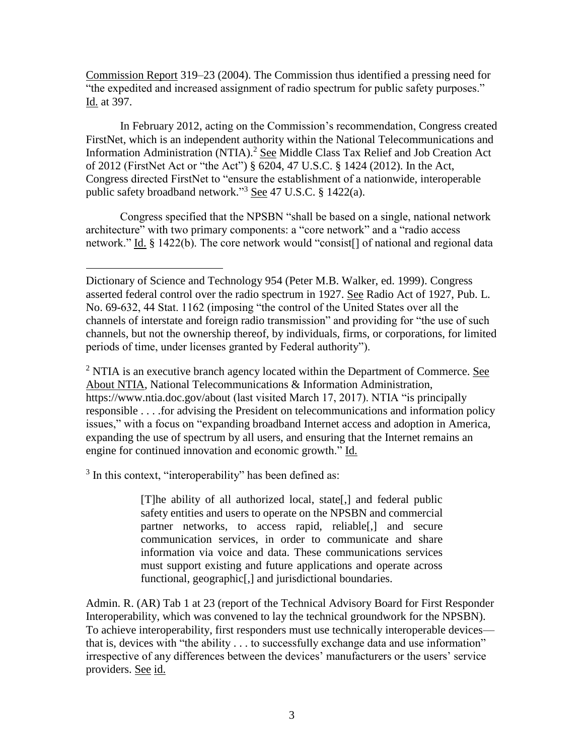Commission Report 319–23 (2004). The Commission thus identified a pressing need for "the expedited and increased assignment of radio spectrum for public safety purposes." Id. at 397.

In February 2012, acting on the Commission's recommendation, Congress created FirstNet, which is an independent authority within the National Telecommunications and Information Administration (NTIA).<sup>2</sup> See Middle Class Tax Relief and Job Creation Act of 2012 (FirstNet Act or "the Act") § 6204, 47 U.S.C. § 1424 (2012). In the Act, Congress directed FirstNet to "ensure the establishment of a nationwide, interoperable public safety broadband network."<sup>3</sup> See 47 U.S.C. § 1422(a).

Congress specified that the NPSBN "shall be based on a single, national network architecture" with two primary components: a "core network" and a "radio access network." Id. § 1422(b). The core network would "consist[] of national and regional data

<sup>2</sup> NTIA is an executive branch agency located within the Department of Commerce. See About NTIA, National Telecommunications & Information Administration, https://www.ntia.doc.gov/about (last visited March 17, 2017). NTIA "is principally responsible . . . .for advising the President on telecommunications and information policy issues," with a focus on "expanding broadband Internet access and adoption in America, expanding the use of spectrum by all users, and ensuring that the Internet remains an engine for continued innovation and economic growth." Id.

<sup>3</sup> In this context, "interoperability" has been defined as:

[T]he ability of all authorized local, state[,] and federal public safety entities and users to operate on the NPSBN and commercial partner networks, to access rapid, reliable[,] and secure communication services, in order to communicate and share information via voice and data. These communications services must support existing and future applications and operate across functional, geographic<sup>[1]</sup>, and jurisdictional boundaries.

Admin. R. (AR) Tab 1 at 23 (report of the Technical Advisory Board for First Responder Interoperability, which was convened to lay the technical groundwork for the NPSBN). To achieve interoperability, first responders must use technically interoperable devices that is, devices with "the ability . . . to successfully exchange data and use information" irrespective of any differences between the devices' manufacturers or the users' service providers. See id.

 $\overline{a}$ Dictionary of Science and Technology 954 (Peter M.B. Walker, ed. 1999). Congress asserted federal control over the radio spectrum in 1927. See Radio Act of 1927, Pub. L. No. 69-632, 44 Stat. 1162 (imposing "the control of the United States over all the channels of interstate and foreign radio transmission" and providing for "the use of such channels, but not the ownership thereof, by individuals, firms, or corporations, for limited periods of time, under licenses granted by Federal authority").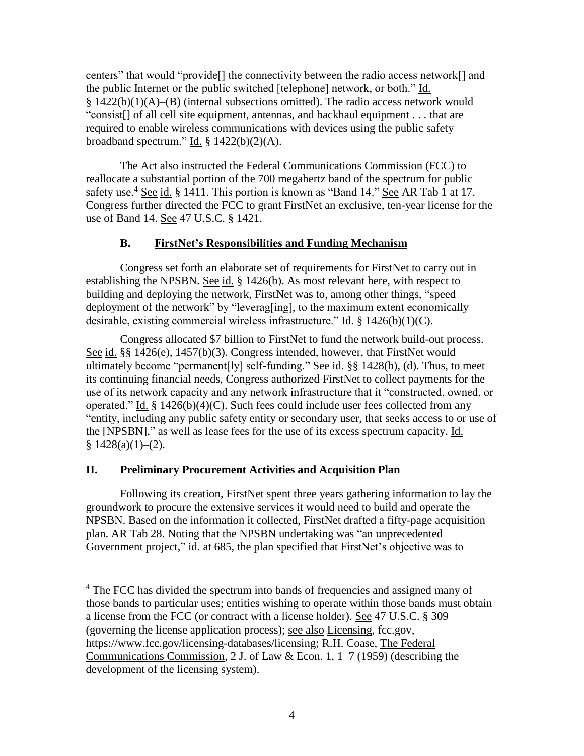centers" that would "provide[] the connectivity between the radio access network[] and the public Internet or the public switched [telephone] network, or both." Id. § 1422(b)(1)(A)–(B) (internal subsections omitted). The radio access network would "consist[] of all cell site equipment, antennas, and backhaul equipment . . . that are required to enable wireless communications with devices using the public safety broadband spectrum."  $\underline{Id}$ . § 1422(b)(2)(A).

The Act also instructed the Federal Communications Commission (FCC) to reallocate a substantial portion of the 700 megahertz band of the spectrum for public safety use.<sup>4</sup> See id. § 1411. This portion is known as "Band 14." See AR Tab 1 at 17. Congress further directed the FCC to grant FirstNet an exclusive, ten-year license for the use of Band 14. See 47 U.S.C. § 1421.

# **B. FirstNet's Responsibilities and Funding Mechanism**

Congress set forth an elaborate set of requirements for FirstNet to carry out in establishing the NPSBN. See id. § 1426(b). As most relevant here, with respect to building and deploying the network, FirstNet was to, among other things, "speed deployment of the network" by "leverag[ing], to the maximum extent economically desirable, existing commercial wireless infrastructure." Id. § 1426(b)(1)(C).

Congress allocated \$7 billion to FirstNet to fund the network build-out process. See id. §§ 1426(e), 1457(b)(3). Congress intended, however, that FirstNet would ultimately become "permanent[ly] self-funding." See id. §§ 1428(b), (d). Thus, to meet its continuing financial needs, Congress authorized FirstNet to collect payments for the use of its network capacity and any network infrastructure that it "constructed, owned, or operated." Id. § 1426(b)(4)(C). Such fees could include user fees collected from any "entity, including any public safety entity or secondary user, that seeks access to or use of the [NPSBN]," as well as lease fees for the use of its excess spectrum capacity. Id.  $§ 1428(a)(1)–(2).$ 

# **II. Preliminary Procurement Activities and Acquisition Plan**

Following its creation, FirstNet spent three years gathering information to lay the groundwork to procure the extensive services it would need to build and operate the NPSBN. Based on the information it collected, FirstNet drafted a fifty-page acquisition plan. AR Tab 28. Noting that the NPSBN undertaking was "an unprecedented Government project," id. at 685, the plan specified that FirstNet's objective was to

 $\overline{a}$ <sup>4</sup> The FCC has divided the spectrum into bands of frequencies and assigned many of those bands to particular uses; entities wishing to operate within those bands must obtain a license from the FCC (or contract with a license holder). See 47 U.S.C. § 309 (governing the license application process); see also Licensing, fcc.gov, https://www.fcc.gov/licensing-databases/licensing; R.H. Coase, The Federal Communications Commission, 2 J. of Law & Econ. 1, 1–7 (1959) (describing the development of the licensing system).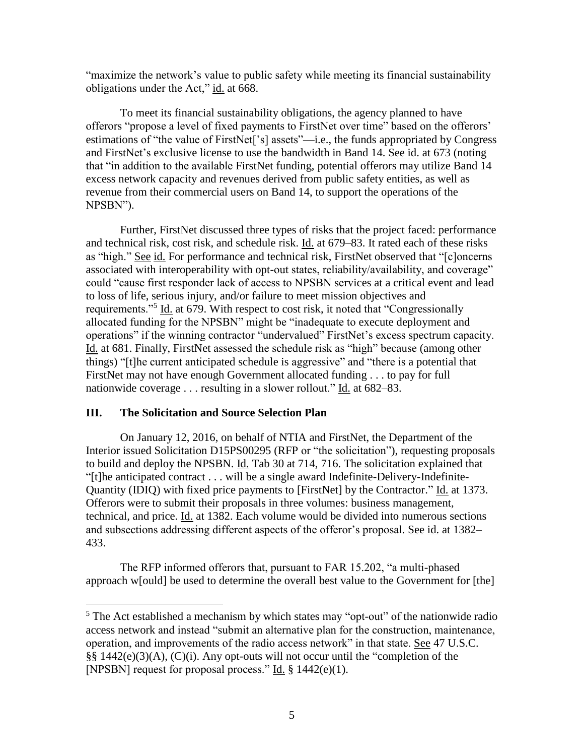"maximize the network's value to public safety while meeting its financial sustainability obligations under the Act," id. at 668.

To meet its financial sustainability obligations, the agency planned to have offerors "propose a level of fixed payments to FirstNet over time" based on the offerors' estimations of "the value of FirstNet['s] assets"—i.e., the funds appropriated by Congress and FirstNet's exclusive license to use the bandwidth in Band 14. See id. at 673 (noting that "in addition to the available FirstNet funding, potential offerors may utilize Band 14 excess network capacity and revenues derived from public safety entities, as well as revenue from their commercial users on Band 14, to support the operations of the NPSBN").

Further, FirstNet discussed three types of risks that the project faced: performance and technical risk, cost risk, and schedule risk. Id. at 679–83. It rated each of these risks as "high." See id. For performance and technical risk, FirstNet observed that "[c]oncerns associated with interoperability with opt-out states, reliability/availability, and coverage" could "cause first responder lack of access to NPSBN services at a critical event and lead to loss of life, serious injury, and/or failure to meet mission objectives and requirements."<sup>5</sup> Id. at 679. With respect to cost risk, it noted that "Congressionally allocated funding for the NPSBN" might be "inadequate to execute deployment and operations" if the winning contractor "undervalued" FirstNet's excess spectrum capacity. Id. at 681. Finally, FirstNet assessed the schedule risk as "high" because (among other things) "[t]he current anticipated schedule is aggressive" and "there is a potential that FirstNet may not have enough Government allocated funding . . . to pay for full nationwide coverage . . . resulting in a slower rollout." Id. at 682–83.

# **III. The Solicitation and Source Selection Plan**

On January 12, 2016, on behalf of NTIA and FirstNet, the Department of the Interior issued Solicitation D15PS00295 (RFP or "the solicitation"), requesting proposals to build and deploy the NPSBN. Id. Tab 30 at 714, 716. The solicitation explained that "[t]he anticipated contract . . . will be a single award Indefinite-Delivery-Indefinite-Quantity (IDIQ) with fixed price payments to [FirstNet] by the Contractor." Id. at 1373. Offerors were to submit their proposals in three volumes: business management, technical, and price. Id. at 1382. Each volume would be divided into numerous sections and subsections addressing different aspects of the offeror's proposal. See id. at 1382– 433.

The RFP informed offerors that, pursuant to FAR 15.202, "a multi-phased approach w[ould] be used to determine the overall best value to the Government for [the]

 $5$  The Act established a mechanism by which states may "opt-out" of the nationwide radio access network and instead "submit an alternative plan for the construction, maintenance, operation, and improvements of the radio access network" in that state. See 47 U.S.C. §§ 1442(e)(3)(A), (C)(i). Any opt-outs will not occur until the "completion of the [NPSBN] request for proposal process." Id. § 1442(e)(1).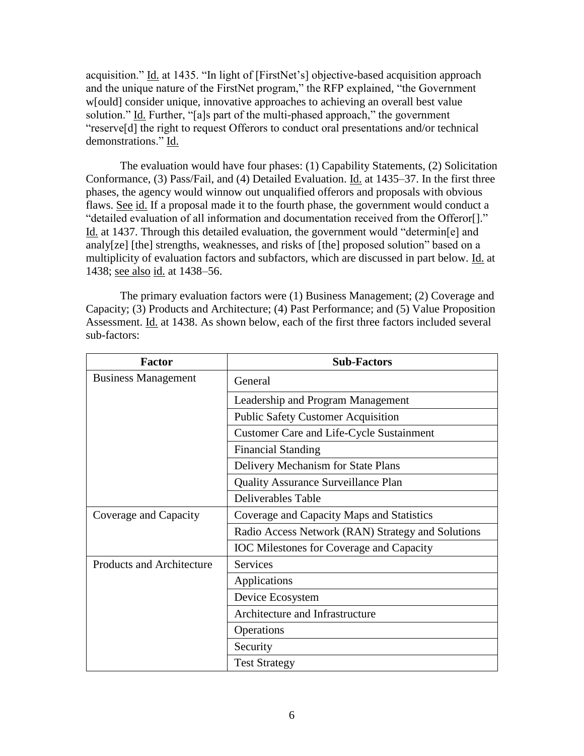acquisition." Id. at 1435. "In light of [FirstNet's] objective-based acquisition approach and the unique nature of the FirstNet program," the RFP explained, "the Government w[ould] consider unique, innovative approaches to achieving an overall best value solution." Id. Further, "[a]s part of the multi-phased approach," the government "reserve[d] the right to request Offerors to conduct oral presentations and/or technical demonstrations." Id.

The evaluation would have four phases: (1) Capability Statements, (2) Solicitation Conformance, (3) Pass/Fail, and (4) Detailed Evaluation. Id. at 1435–37. In the first three phases, the agency would winnow out unqualified offerors and proposals with obvious flaws. See id. If a proposal made it to the fourth phase, the government would conduct a "detailed evaluation of all information and documentation received from the Offeror[]." Id. at 1437. Through this detailed evaluation, the government would "determin[e] and analy[ze] [the] strengths, weaknesses, and risks of [the] proposed solution" based on a multiplicity of evaluation factors and subfactors, which are discussed in part below. Id. at 1438; see also id. at 1438–56.

The primary evaluation factors were (1) Business Management; (2) Coverage and Capacity; (3) Products and Architecture; (4) Past Performance; and (5) Value Proposition Assessment. Id. at 1438. As shown below, each of the first three factors included several sub-factors:

| <b>Factor</b>                    | <b>Sub-Factors</b>                                |
|----------------------------------|---------------------------------------------------|
| <b>Business Management</b>       | General                                           |
|                                  | Leadership and Program Management                 |
|                                  | <b>Public Safety Customer Acquisition</b>         |
|                                  | <b>Customer Care and Life-Cycle Sustainment</b>   |
|                                  | <b>Financial Standing</b>                         |
|                                  | Delivery Mechanism for State Plans                |
|                                  | Quality Assurance Surveillance Plan               |
|                                  | <b>Deliverables Table</b>                         |
| Coverage and Capacity            | Coverage and Capacity Maps and Statistics         |
|                                  | Radio Access Network (RAN) Strategy and Solutions |
|                                  | <b>IOC</b> Milestones for Coverage and Capacity   |
| <b>Products and Architecture</b> | <b>Services</b>                                   |
|                                  | Applications                                      |
|                                  | Device Ecosystem                                  |
|                                  | Architecture and Infrastructure                   |
|                                  | Operations                                        |
|                                  | Security                                          |
|                                  | <b>Test Strategy</b>                              |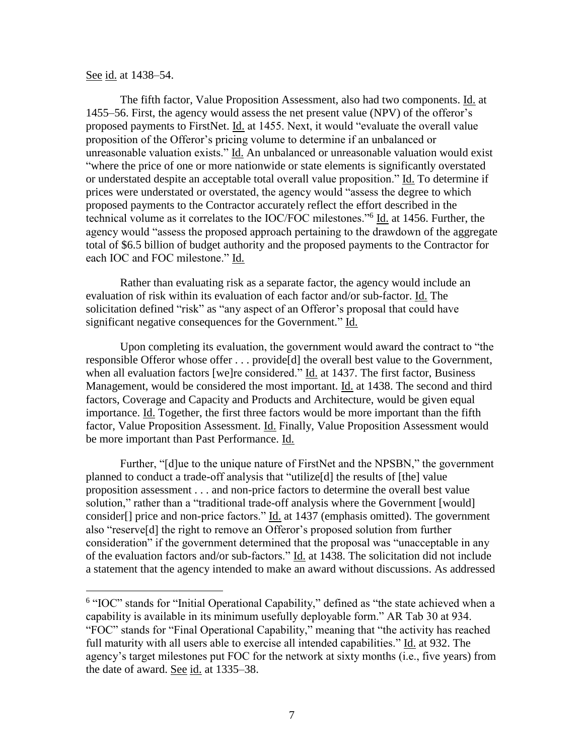#### See id. at 1438–54.

 $\overline{a}$ 

The fifth factor, Value Proposition Assessment, also had two components. Id. at 1455–56. First, the agency would assess the net present value (NPV) of the offeror's proposed payments to FirstNet. Id. at 1455. Next, it would "evaluate the overall value proposition of the Offeror's pricing volume to determine if an unbalanced or unreasonable valuation exists." Id. An unbalanced or unreasonable valuation would exist "where the price of one or more nationwide or state elements is significantly overstated or understated despite an acceptable total overall value proposition." Id. To determine if prices were understated or overstated, the agency would "assess the degree to which proposed payments to the Contractor accurately reflect the effort described in the technical volume as it correlates to the IOC/FOC milestones."<sup>6</sup> Id. at 1456. Further, the agency would "assess the proposed approach pertaining to the drawdown of the aggregate total of \$6.5 billion of budget authority and the proposed payments to the Contractor for each IOC and FOC milestone." Id.

Rather than evaluating risk as a separate factor, the agency would include an evaluation of risk within its evaluation of each factor and/or sub-factor. Id. The solicitation defined "risk" as "any aspect of an Offeror's proposal that could have significant negative consequences for the Government." Id.

Upon completing its evaluation, the government would award the contract to "the responsible Offeror whose offer . . . provide[d] the overall best value to the Government, when all evaluation factors [we]re considered." Id. at 1437. The first factor, Business Management, would be considered the most important. Id. at 1438. The second and third factors, Coverage and Capacity and Products and Architecture, would be given equal importance. Id. Together, the first three factors would be more important than the fifth factor, Value Proposition Assessment. Id. Finally, Value Proposition Assessment would be more important than Past Performance. Id.

Further, "[d]ue to the unique nature of FirstNet and the NPSBN," the government planned to conduct a trade-off analysis that "utilize[d] the results of [the] value proposition assessment . . . and non-price factors to determine the overall best value solution," rather than a "traditional trade-off analysis where the Government [would] consider[] price and non-price factors." Id. at 1437 (emphasis omitted). The government also "reserve[d] the right to remove an Offeror's proposed solution from further consideration" if the government determined that the proposal was "unacceptable in any of the evaluation factors and/or sub-factors." Id. at 1438. The solicitation did not include a statement that the agency intended to make an award without discussions. As addressed

<sup>&</sup>lt;sup>6</sup> "IOC" stands for "Initial Operational Capability," defined as "the state achieved when a capability is available in its minimum usefully deployable form." AR Tab 30 at 934. "FOC" stands for "Final Operational Capability," meaning that "the activity has reached full maturity with all users able to exercise all intended capabilities." Id. at 932. The agency's target milestones put FOC for the network at sixty months (i.e., five years) from the date of award. See id. at 1335–38.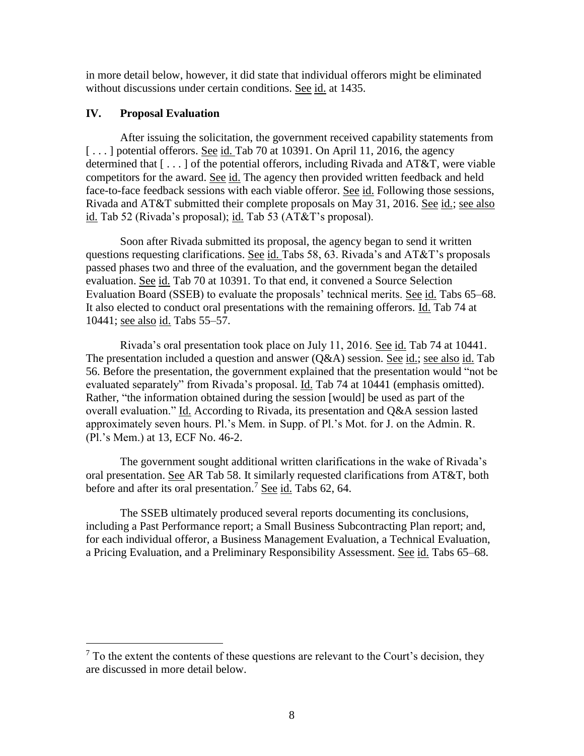in more detail below, however, it did state that individual offerors might be eliminated without discussions under certain conditions. See id. at 1435.

# **IV. Proposal Evaluation**

 $\overline{a}$ 

After issuing the solicitation, the government received capability statements from [...] potential offerors. See id. Tab 70 at 10391. On April 11, 2016, the agency determined that [ . . . ] of the potential offerors, including Rivada and AT&T, were viable competitors for the award. See id. The agency then provided written feedback and held face-to-face feedback sessions with each viable offeror. See id. Following those sessions, Rivada and AT&T submitted their complete proposals on May 31, 2016. See id.; see also id. Tab 52 (Rivada's proposal); id. Tab 53 (AT&T's proposal).

Soon after Rivada submitted its proposal, the agency began to send it written questions requesting clarifications. See id. Tabs 58, 63. Rivada's and AT&T's proposals passed phases two and three of the evaluation, and the government began the detailed evaluation. See id. Tab 70 at 10391. To that end, it convened a Source Selection Evaluation Board (SSEB) to evaluate the proposals' technical merits. See id. Tabs 65–68. It also elected to conduct oral presentations with the remaining offerors. Id. Tab 74 at 10441; see also id. Tabs 55–57.

Rivada's oral presentation took place on July 11, 2016. See id. Tab 74 at 10441. The presentation included a question and answer (Q&A) session. See id.; see also id. Tab 56. Before the presentation, the government explained that the presentation would "not be evaluated separately" from Rivada's proposal. Id. Tab 74 at 10441 (emphasis omitted). Rather, "the information obtained during the session [would] be used as part of the overall evaluation." Id. According to Rivada, its presentation and Q&A session lasted approximately seven hours. Pl.'s Mem. in Supp. of Pl.'s Mot. for J. on the Admin. R. (Pl.'s Mem.) at 13, ECF No. 46-2.

The government sought additional written clarifications in the wake of Rivada's oral presentation. See AR Tab 58. It similarly requested clarifications from AT&T, both before and after its oral presentation.<sup>7</sup> See id. Tabs  $62, 64$ .

The SSEB ultimately produced several reports documenting its conclusions, including a Past Performance report; a Small Business Subcontracting Plan report; and, for each individual offeror, a Business Management Evaluation, a Technical Evaluation, a Pricing Evaluation, and a Preliminary Responsibility Assessment. See id. Tabs 65–68.

 $<sup>7</sup>$  To the extent the contents of these questions are relevant to the Court's decision, they</sup> are discussed in more detail below.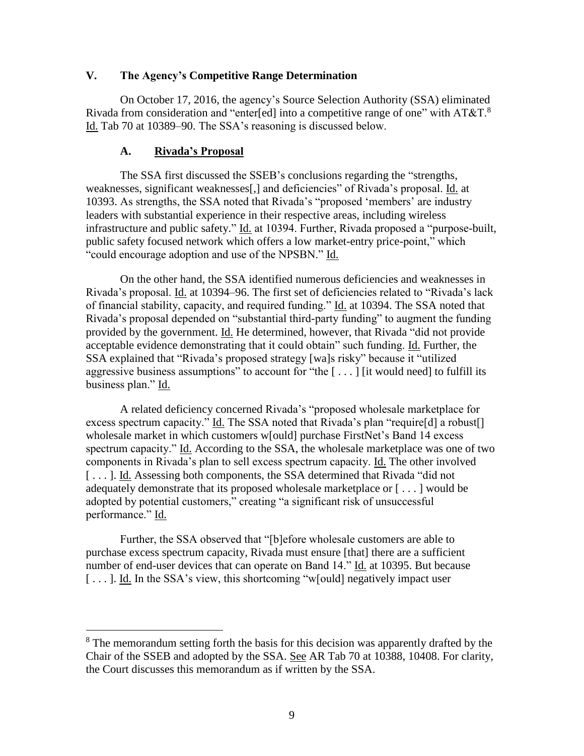#### **V. The Agency's Competitive Range Determination**

On October 17, 2016, the agency's Source Selection Authority (SSA) eliminated Rivada from consideration and "enter[ed] into a competitive range of one" with AT&T.<sup>8</sup> Id. Tab 70 at 10389–90. The SSA's reasoning is discussed below.

#### **A. Rivada's Proposal**

 $\overline{a}$ 

The SSA first discussed the SSEB's conclusions regarding the "strengths, weaknesses, significant weaknesses[,] and deficiencies" of Rivada's proposal. Id. at 10393. As strengths, the SSA noted that Rivada's "proposed 'members' are industry leaders with substantial experience in their respective areas, including wireless infrastructure and public safety." Id. at 10394. Further, Rivada proposed a "purpose-built, public safety focused network which offers a low market-entry price-point," which "could encourage adoption and use of the NPSBN." Id.

On the other hand, the SSA identified numerous deficiencies and weaknesses in Rivada's proposal. Id. at 10394–96. The first set of deficiencies related to "Rivada's lack of financial stability, capacity, and required funding." Id. at 10394. The SSA noted that Rivada's proposal depended on "substantial third-party funding" to augment the funding provided by the government. Id. He determined, however, that Rivada "did not provide acceptable evidence demonstrating that it could obtain" such funding. Id. Further, the SSA explained that "Rivada's proposed strategy [wa]s risky" because it "utilized aggressive business assumptions" to account for "the  $[\ldots]$  [it would need] to fulfill its business plan." Id.

A related deficiency concerned Rivada's "proposed wholesale marketplace for excess spectrum capacity." Id. The SSA noted that Rivada's plan "require[d] a robust[] wholesale market in which customers w[ould] purchase FirstNet's Band 14 excess spectrum capacity." Id. According to the SSA, the wholesale marketplace was one of two components in Rivada's plan to sell excess spectrum capacity. Id. The other involved [...]. Id. Assessing both components, the SSA determined that Rivada "did not" adequately demonstrate that its proposed wholesale marketplace or [ . . . ] would be adopted by potential customers," creating "a significant risk of unsuccessful performance." Id.

Further, the SSA observed that "[b]efore wholesale customers are able to purchase excess spectrum capacity, Rivada must ensure [that] there are a sufficient number of end-user devices that can operate on Band 14." Id. at 10395. But because [...]. Id. In the SSA's view, this shortcoming "w[ould] negatively impact user

<sup>&</sup>lt;sup>8</sup> The memorandum setting forth the basis for this decision was apparently drafted by the Chair of the SSEB and adopted by the SSA. See AR Tab 70 at 10388, 10408. For clarity, the Court discusses this memorandum as if written by the SSA.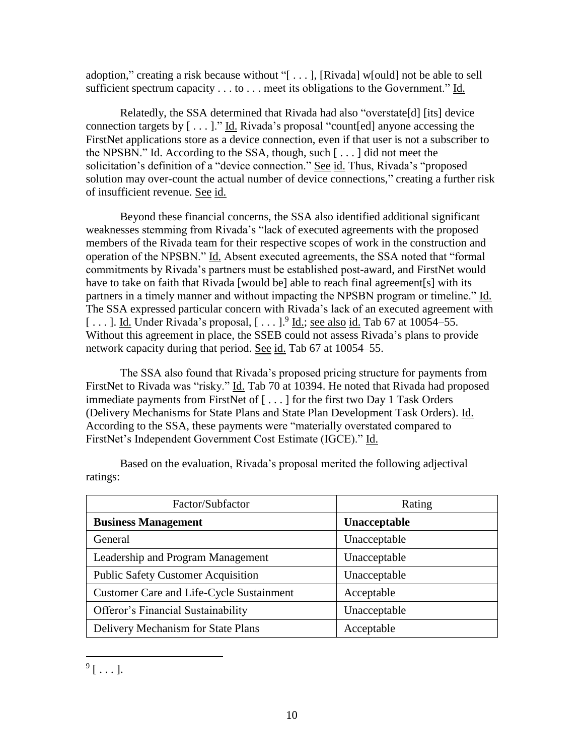adoption," creating a risk because without "[ . . . ], [Rivada] w[ould] not be able to sell sufficient spectrum capacity . . . to . . . meet its obligations to the Government." Id.

Relatedly, the SSA determined that Rivada had also "overstate[d] [its] device connection targets by  $[\dots]$ ." Id. Rivada's proposal "count[ed] anyone accessing the FirstNet applications store as a device connection, even if that user is not a subscriber to the NPSBN." Id. According to the SSA, though, such [ . . . ] did not meet the solicitation's definition of a "device connection." See id. Thus, Rivada's "proposed solution may over-count the actual number of device connections," creating a further risk of insufficient revenue. See id.

Beyond these financial concerns, the SSA also identified additional significant weaknesses stemming from Rivada's "lack of executed agreements with the proposed members of the Rivada team for their respective scopes of work in the construction and operation of the NPSBN." Id. Absent executed agreements, the SSA noted that "formal commitments by Rivada's partners must be established post-award, and FirstNet would have to take on faith that Rivada [would be] able to reach final agreement[s] with its partners in a timely manner and without impacting the NPSBN program or timeline." Id. The SSA expressed particular concern with Rivada's lack of an executed agreement with [...]. Id. Under Rivada's proposal,  $[...]$ <sup>9</sup> Id.; <u>see also id.</u> Tab 67 at 10054–55. Without this agreement in place, the SSEB could not assess Rivada's plans to provide network capacity during that period. See id. Tab 67 at 10054–55.

The SSA also found that Rivada's proposed pricing structure for payments from FirstNet to Rivada was "risky." Id. Tab 70 at 10394. He noted that Rivada had proposed immediate payments from FirstNet of [ . . . ] for the first two Day 1 Task Orders (Delivery Mechanisms for State Plans and State Plan Development Task Orders). Id. According to the SSA, these payments were "materially overstated compared to FirstNet's Independent Government Cost Estimate (IGCE)." Id.

| Factor/Subfactor                                | Rating       |
|-------------------------------------------------|--------------|
| <b>Business Management</b>                      | Unacceptable |
| General                                         | Unacceptable |
| Leadership and Program Management               | Unacceptable |
| <b>Public Safety Customer Acquisition</b>       | Unacceptable |
| <b>Customer Care and Life-Cycle Sustainment</b> | Acceptable   |
| Offeror's Financial Sustainability              | Unacceptable |
| Delivery Mechanism for State Plans              | Acceptable   |

Based on the evaluation, Rivada's proposal merited the following adjectival ratings:

 $\overline{a}$ 

 $9$  [  $\dots$  ].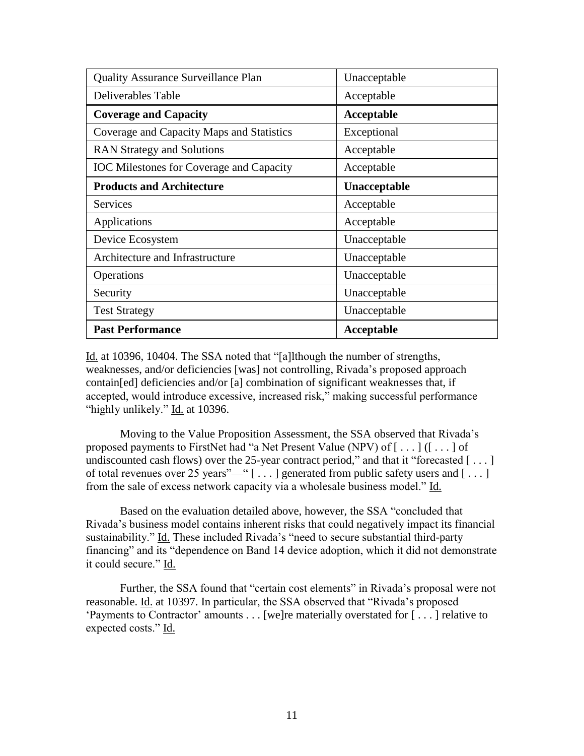| <b>Quality Assurance Surveillance Plan</b>      | Unacceptable        |
|-------------------------------------------------|---------------------|
| Deliverables Table                              | Acceptable          |
| <b>Coverage and Capacity</b>                    | Acceptable          |
| Coverage and Capacity Maps and Statistics       | Exceptional         |
| <b>RAN Strategy and Solutions</b>               | Acceptable          |
| <b>IOC</b> Milestones for Coverage and Capacity | Acceptable          |
| <b>Products and Architecture</b>                | <b>Unacceptable</b> |
| Services                                        | Acceptable          |
| Applications                                    | Acceptable          |
| Device Ecosystem                                | Unacceptable        |
| Architecture and Infrastructure                 | Unacceptable        |
| Operations                                      | Unacceptable        |
| Security                                        | Unacceptable        |
| <b>Test Strategy</b>                            | Unacceptable        |
| <b>Past Performance</b>                         | Acceptable          |

Id. at 10396, 10404. The SSA noted that "[a]lthough the number of strengths, weaknesses, and/or deficiencies [was] not controlling, Rivada's proposed approach contain[ed] deficiencies and/or [a] combination of significant weaknesses that, if accepted, would introduce excessive, increased risk," making successful performance "highly unlikely." Id. at 10396.

Moving to the Value Proposition Assessment, the SSA observed that Rivada's proposed payments to FirstNet had "a Net Present Value (NPV) of  $[\ldots]$  ( $[\ldots]$  of undiscounted cash flows) over the 25-year contract period," and that it "forecasted  $[\dots]$ of total revenues over 25 years"—" [...] generated from public safety users and [...] from the sale of excess network capacity via a wholesale business model." Id.

Based on the evaluation detailed above, however, the SSA "concluded that Rivada's business model contains inherent risks that could negatively impact its financial sustainability." Id. These included Rivada's "need to secure substantial third-party financing" and its "dependence on Band 14 device adoption, which it did not demonstrate it could secure." Id.

Further, the SSA found that "certain cost elements" in Rivada's proposal were not reasonable. Id. at 10397. In particular, the SSA observed that "Rivada's proposed 'Payments to Contractor' amounts . . . [we]re materially overstated for [ . . . ] relative to expected costs." Id.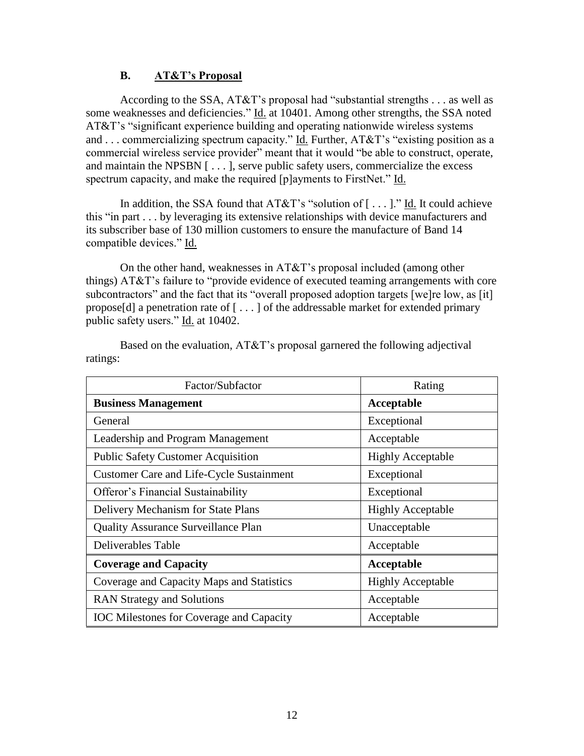#### **B. AT&T's Proposal**

According to the SSA, AT&T's proposal had "substantial strengths . . . as well as some weaknesses and deficiencies." Id. at 10401. Among other strengths, the SSA noted AT&T's "significant experience building and operating nationwide wireless systems and ... commercializing spectrum capacity." Id. Further,  $AT&T$ 's "existing position as a commercial wireless service provider" meant that it would "be able to construct, operate, and maintain the NPSBN [ . . . ], serve public safety users, commercialize the excess spectrum capacity, and make the required [p]ayments to FirstNet." Id.

In addition, the SSA found that  $AT&T$ 's "solution of [...]." Id. It could achieve this "in part . . . by leveraging its extensive relationships with device manufacturers and its subscriber base of 130 million customers to ensure the manufacture of Band 14 compatible devices." Id.

On the other hand, weaknesses in AT&T's proposal included (among other things) AT&T's failure to "provide evidence of executed teaming arrangements with core subcontractors" and the fact that its "overall proposed adoption targets [we]re low, as [it] propose[d] a penetration rate of  $[\dots]$  of the addressable market for extended primary public safety users." Id. at 10402.

| Factor/Subfactor                                | Rating                   |
|-------------------------------------------------|--------------------------|
| <b>Business Management</b>                      | Acceptable               |
| General                                         | Exceptional              |
| Leadership and Program Management               | Acceptable               |
| <b>Public Safety Customer Acquisition</b>       | <b>Highly Acceptable</b> |
| <b>Customer Care and Life-Cycle Sustainment</b> | Exceptional              |
| <b>Offeror's Financial Sustainability</b>       | Exceptional              |
| Delivery Mechanism for State Plans              | <b>Highly Acceptable</b> |
| <b>Quality Assurance Surveillance Plan</b>      | Unacceptable             |
| Deliverables Table                              | Acceptable               |
| <b>Coverage and Capacity</b>                    | Acceptable               |
| Coverage and Capacity Maps and Statistics       | <b>Highly Acceptable</b> |
| <b>RAN Strategy and Solutions</b>               | Acceptable               |
| <b>IOC</b> Milestones for Coverage and Capacity | Acceptable               |

Based on the evaluation, AT&T's proposal garnered the following adjectival ratings: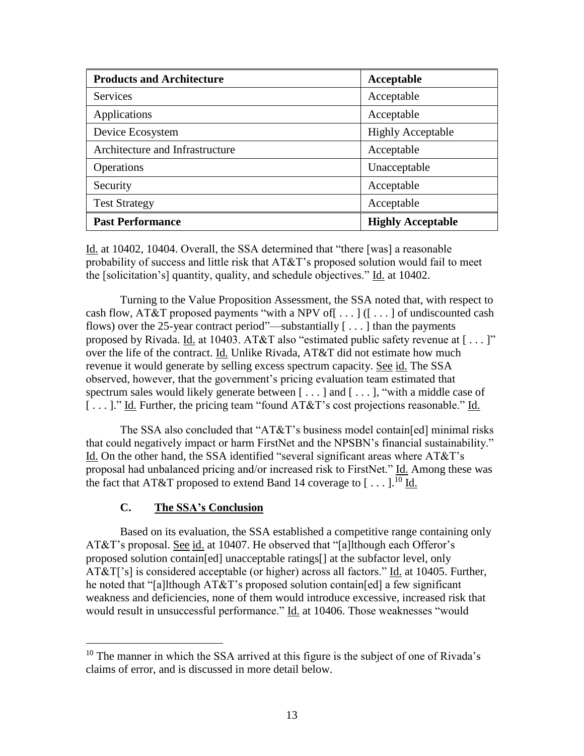| <b>Products and Architecture</b> | Acceptable               |
|----------------------------------|--------------------------|
| <b>Services</b>                  | Acceptable               |
| Applications                     | Acceptable               |
| Device Ecosystem                 | <b>Highly Acceptable</b> |
| Architecture and Infrastructure  | Acceptable               |
| Operations                       | Unacceptable             |
| Security                         | Acceptable               |
| <b>Test Strategy</b>             | Acceptable               |
| <b>Past Performance</b>          | <b>Highly Acceptable</b> |

Id. at 10402, 10404. Overall, the SSA determined that "there [was] a reasonable probability of success and little risk that AT&T's proposed solution would fail to meet the [solicitation's] quantity, quality, and schedule objectives." Id. at 10402.

Turning to the Value Proposition Assessment, the SSA noted that, with respect to cash flow, AT&T proposed payments "with a NPV of[ . . . ] ([ . . . ] of undiscounted cash flows) over the 25-year contract period"—substantially  $[\ldots]$  than the payments proposed by Rivada. Id. at 10403. AT&T also "estimated public safety revenue at [ . . . ]" over the life of the contract. Id. Unlike Rivada, AT&T did not estimate how much revenue it would generate by selling excess spectrum capacity. See id. The SSA observed, however, that the government's pricing evaluation team estimated that spectrum sales would likely generate between  $[\ldots]$  and  $[\ldots]$ , "with a middle case of [...]." Id. Further, the pricing team "found AT&T's cost projections reasonable." Id.

The SSA also concluded that " $AT&T$ " s business model contain [ed] minimal risks that could negatively impact or harm FirstNet and the NPSBN's financial sustainability." Id. On the other hand, the SSA identified "several significant areas where AT&T's proposal had unbalanced pricing and/or increased risk to FirstNet." Id. Among these was the fact that AT&T proposed to extend Band 14 coverage to  $[...]$ .<sup>10</sup> Id.

# **C. The SSA's Conclusion**

 $\overline{a}$ 

Based on its evaluation, the SSA established a competitive range containing only AT&T's proposal. See id. at 10407. He observed that "[a]lthough each Offeror's proposed solution contain[ed] unacceptable ratings[] at the subfactor level, only AT&T['s] is considered acceptable (or higher) across all factors." Id. at 10405. Further, he noted that "[a]lthough AT&T's proposed solution contain[ed] a few significant weakness and deficiencies, none of them would introduce excessive, increased risk that would result in unsuccessful performance." Id. at 10406. Those weaknesses "would

<sup>&</sup>lt;sup>10</sup> The manner in which the SSA arrived at this figure is the subject of one of Rivada's claims of error, and is discussed in more detail below.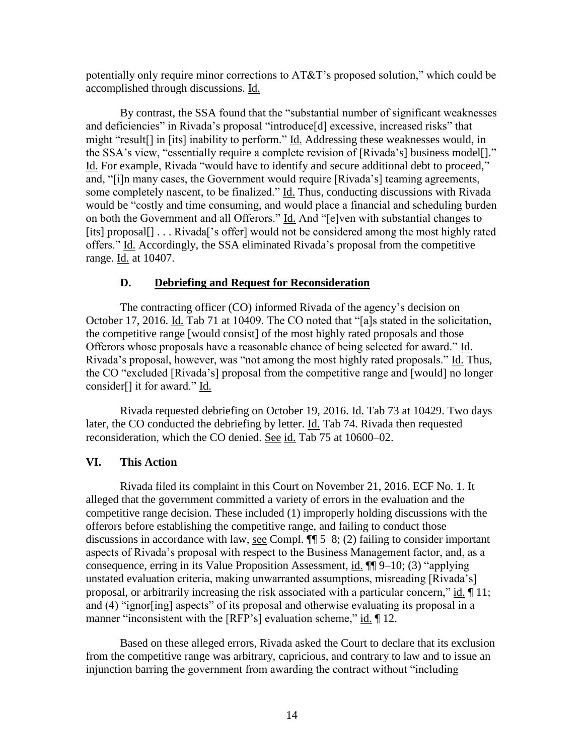potentially only require minor corrections to AT&T's proposed solution," which could be accomplished through discussions. Id.

By contrast, the SSA found that the "substantial number of significant weaknesses and deficiencies" in Rivada's proposal "introduce[d] excessive, increased risks" that might "result[] in [its] inability to perform." Id. Addressing these weaknesses would, in the SSA's view, "essentially require a complete revision of [Rivada's] business model[]." Id. For example, Rivada "would have to identify and secure additional debt to proceed," and, "[i]n many cases, the Government would require [Rivada's] teaming agreements, some completely nascent, to be finalized." Id. Thus, conducting discussions with Rivada would be "costly and time consuming, and would place a financial and scheduling burden on both the Government and all Offerors." Id. And "[e]ven with substantial changes to [its] proposal[] . . . Rivada['s offer] would not be considered among the most highly rated offers." Id. Accordingly, the SSA eliminated Rivada's proposal from the competitive range. Id. at 10407.

#### **D. Debriefing and Request for Reconsideration**

The contracting officer (CO) informed Rivada of the agency's decision on October 17, 2016. Id. Tab 71 at 10409. The CO noted that "[a]s stated in the solicitation, the competitive range [would consist] of the most highly rated proposals and those Offerors whose proposals have a reasonable chance of being selected for award." Id. Rivada's proposal, however, was "not among the most highly rated proposals." Id. Thus, the CO "excluded [Rivada's] proposal from the competitive range and [would] no longer consider[] it for award." Id.

Rivada requested debriefing on October 19, 2016. Id. Tab 73 at 10429. Two days later, the CO conducted the debriefing by letter. Id. Tab 74. Rivada then requested reconsideration, which the CO denied. See id. Tab 75 at 10600–02.

#### **VI. This Action**

Rivada filed its complaint in this Court on November 21, 2016. ECF No. 1. It alleged that the government committed a variety of errors in the evaluation and the competitive range decision. These included (1) improperly holding discussions with the offerors before establishing the competitive range, and failing to conduct those discussions in accordance with law, <u>see</u> Compl.  $\P$  5–8; (2) failing to consider important aspects of Rivada's proposal with respect to the Business Management factor, and, as a consequence, erring in its Value Proposition Assessment, id. ¶¶ 9–10; (3) "applying unstated evaluation criteria, making unwarranted assumptions, misreading [Rivada's] proposal, or arbitrarily increasing the risk associated with a particular concern," id. ¶ 11; and (4) "ignor[ing] aspects" of its proposal and otherwise evaluating its proposal in a manner "inconsistent with the [RFP's] evaluation scheme," id. 12.

Based on these alleged errors, Rivada asked the Court to declare that its exclusion from the competitive range was arbitrary, capricious, and contrary to law and to issue an injunction barring the government from awarding the contract without "including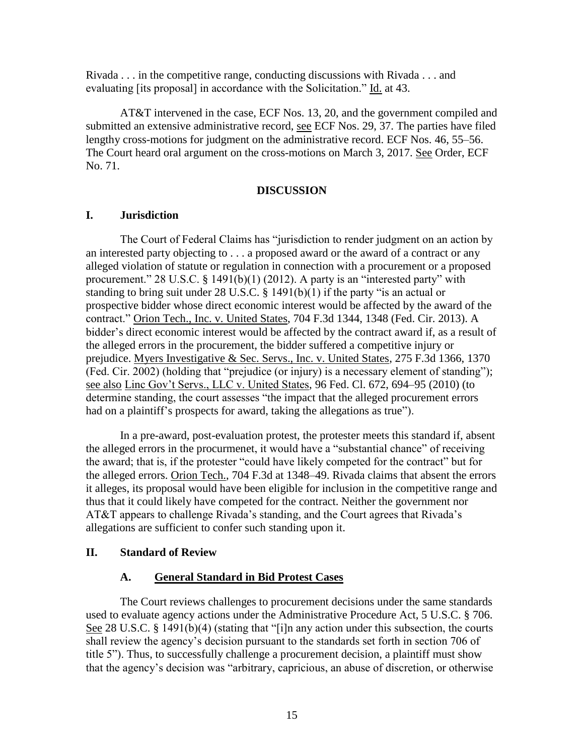Rivada . . . in the competitive range, conducting discussions with Rivada . . . and evaluating [its proposal] in accordance with the Solicitation." Id. at 43.

AT&T intervened in the case, ECF Nos. 13, 20, and the government compiled and submitted an extensive administrative record, see ECF Nos. 29, 37. The parties have filed lengthy cross-motions for judgment on the administrative record. ECF Nos. 46, 55–56. The Court heard oral argument on the cross-motions on March 3, 2017. See Order, ECF No. 71.

#### **DISCUSSION**

#### **I. Jurisdiction**

The Court of Federal Claims has "jurisdiction to render judgment on an action by an interested party objecting to . . . a proposed award or the award of a contract or any alleged violation of statute or regulation in connection with a procurement or a proposed procurement." 28 U.S.C. § 1491(b)(1) (2012). A party is an "interested party" with standing to bring suit under 28 U.S.C. § 1491(b)(1) if the party "is an actual or prospective bidder whose direct economic interest would be affected by the award of the contract." Orion Tech., Inc. v. United States, 704 F.3d 1344, 1348 (Fed. Cir. 2013). A bidder's direct economic interest would be affected by the contract award if, as a result of the alleged errors in the procurement, the bidder suffered a competitive injury or prejudice. Myers Investigative & Sec. Servs., Inc. v. United States, 275 F.3d 1366, 1370 (Fed. Cir. 2002) (holding that "prejudice (or injury) is a necessary element of standing"); see also Linc Gov't Servs., LLC v. United States, 96 Fed. Cl. 672, 694–95 (2010) (to determine standing, the court assesses "the impact that the alleged procurement errors had on a plaintiff's prospects for award, taking the allegations as true").

In a pre-award, post-evaluation protest, the protester meets this standard if, absent the alleged errors in the procurmenet, it would have a "substantial chance" of receiving the award; that is, if the protester "could have likely competed for the contract" but for the alleged errors. Orion Tech., 704 F.3d at 1348–49. Rivada claims that absent the errors it alleges, its proposal would have been eligible for inclusion in the competitive range and thus that it could likely have competed for the contract. Neither the government nor AT&T appears to challenge Rivada's standing, and the Court agrees that Rivada's allegations are sufficient to confer such standing upon it.

#### **II. Standard of Review**

#### **A. General Standard in Bid Protest Cases**

The Court reviews challenges to procurement decisions under the same standards used to evaluate agency actions under the Administrative Procedure Act, 5 U.S.C. § 706. See 28 U.S.C. § 1491(b)(4) (stating that "[i]n any action under this subsection, the courts shall review the agency's decision pursuant to the standards set forth in section 706 of title 5"). Thus, to successfully challenge a procurement decision, a plaintiff must show that the agency's decision was "arbitrary, capricious, an abuse of discretion, or otherwise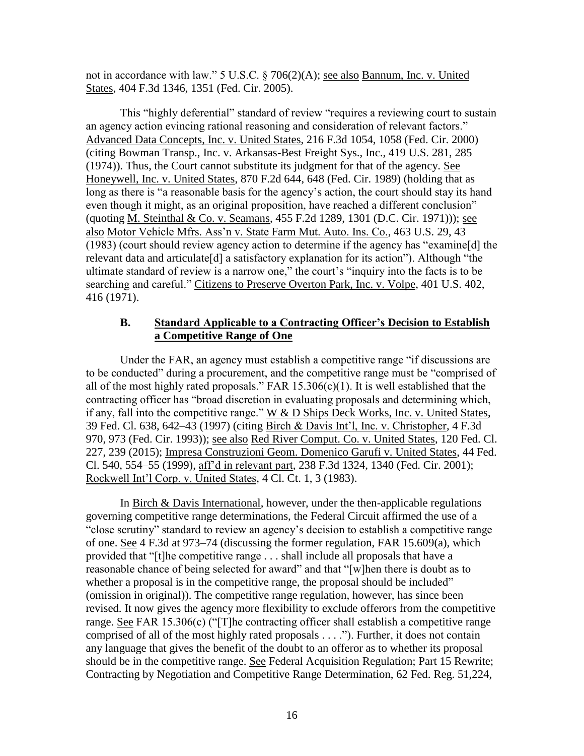not in accordance with law." 5 U.S.C. § 706(2)(A); see also Bannum, Inc. v. United States, 404 F.3d 1346, 1351 (Fed. Cir. 2005).

This "highly deferential" standard of review "requires a reviewing court to sustain an agency action evincing rational reasoning and consideration of relevant factors." Advanced Data Concepts, Inc. v. United States, 216 F.3d 1054, 1058 (Fed. Cir. 2000) (citing Bowman Transp., Inc. v. Arkansas-Best Freight Sys., Inc., 419 U.S. 281, 285 (1974)). Thus, the Court cannot substitute its judgment for that of the agency. See Honeywell, Inc. v. United States, 870 F.2d 644, 648 (Fed. Cir. 1989) (holding that as long as there is "a reasonable basis for the agency's action, the court should stay its hand even though it might, as an original proposition, have reached a different conclusion" (quoting M. Steinthal & Co. v. Seamans, 455 F.2d 1289, 1301 (D.C. Cir. 1971))); see also Motor Vehicle Mfrs. Ass'n v. State Farm Mut. Auto. Ins. Co., 463 U.S. 29, 43 (1983) (court should review agency action to determine if the agency has "examine[d] the relevant data and articulate<sup>[d]</sup> a satisfactory explanation for its action"). Although "the ultimate standard of review is a narrow one," the court's "inquiry into the facts is to be searching and careful." Citizens to Preserve Overton Park, Inc. v. Volpe, 401 U.S. 402, 416 (1971).

## **B. Standard Applicable to a Contracting Officer's Decision to Establish a Competitive Range of One**

Under the FAR, an agency must establish a competitive range "if discussions are to be conducted" during a procurement, and the competitive range must be "comprised of all of the most highly rated proposals." FAR  $15.306(c)(1)$ . It is well established that the contracting officer has "broad discretion in evaluating proposals and determining which, if any, fall into the competitive range."  $W & D$  Ships Deck Works, Inc. v. United States, 39 Fed. Cl. 638, 642–43 (1997) (citing Birch & Davis Int'l, Inc. v. Christopher, 4 F.3d 970, 973 (Fed. Cir. 1993)); see also Red River Comput. Co. v. United States, 120 Fed. Cl. 227, 239 (2015); Impresa Construzioni Geom. Domenico Garufi v. United States, 44 Fed. Cl. 540, 554–55 (1999), aff'd in relevant part, 238 F.3d 1324, 1340 (Fed. Cir. 2001); Rockwell Int'l Corp. v. United States, 4 Cl. Ct. 1, 3 (1983).

In Birch & Davis International, however, under the then-applicable regulations governing competitive range determinations, the Federal Circuit affirmed the use of a "close scrutiny" standard to review an agency's decision to establish a competitive range of one. See 4 F.3d at 973–74 (discussing the former regulation, FAR 15.609(a), which provided that "[t]he competitive range . . . shall include all proposals that have a reasonable chance of being selected for award" and that "[w]hen there is doubt as to whether a proposal is in the competitive range, the proposal should be included" (omission in original)). The competitive range regulation, however, has since been revised. It now gives the agency more flexibility to exclude offerors from the competitive range. See FAR 15.306 $(c)$  ("The contracting officer shall establish a competitive range comprised of all of the most highly rated proposals . . . ."). Further, it does not contain any language that gives the benefit of the doubt to an offeror as to whether its proposal should be in the competitive range. See Federal Acquisition Regulation; Part 15 Rewrite; Contracting by Negotiation and Competitive Range Determination, 62 Fed. Reg. 51,224,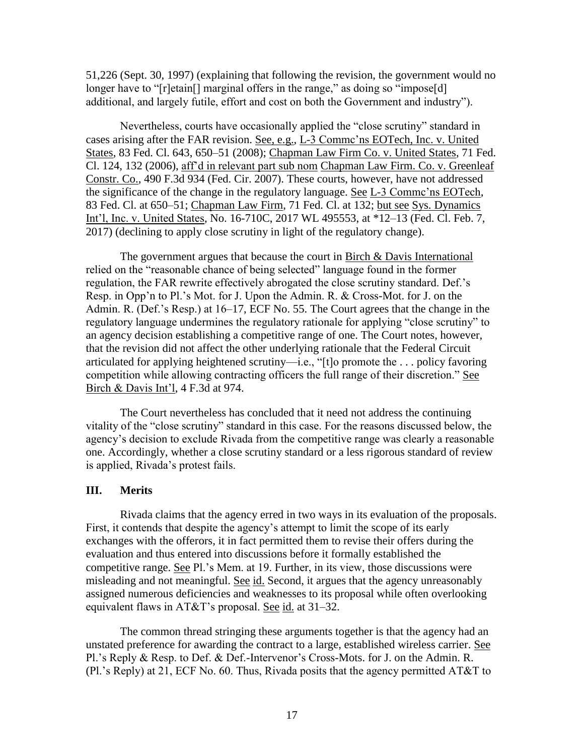51,226 (Sept. 30, 1997) (explaining that following the revision, the government would no longer have to "[r]etain[] marginal offers in the range," as doing so "impose[d] additional, and largely futile, effort and cost on both the Government and industry").

Nevertheless, courts have occasionally applied the "close scrutiny" standard in cases arising after the FAR revision. See, e.g., L-3 Commc'ns EOTech, Inc. v. United States, 83 Fed. Cl. 643, 650–51 (2008); Chapman Law Firm Co. v. United States, 71 Fed. Cl. 124, 132 (2006), aff'd in relevant part sub nom Chapman Law Firm. Co. v. Greenleaf Constr. Co., 490 F.3d 934 (Fed. Cir. 2007). These courts, however, have not addressed the significance of the change in the regulatory language. See L-3 Commc'ns EOTech, 83 Fed. Cl. at 650–51; Chapman Law Firm, 71 Fed. Cl. at 132; but see Sys. Dynamics Int'l, Inc. v. United States, No. 16-710C, 2017 WL 495553, at \*12–13 (Fed. Cl. Feb. 7, 2017) (declining to apply close scrutiny in light of the regulatory change).

The government argues that because the court in Birch & Davis International relied on the "reasonable chance of being selected" language found in the former regulation, the FAR rewrite effectively abrogated the close scrutiny standard. Def.'s Resp. in Opp'n to Pl.'s Mot. for J. Upon the Admin. R. & Cross-Mot. for J. on the Admin. R. (Def.'s Resp.) at 16–17, ECF No. 55. The Court agrees that the change in the regulatory language undermines the regulatory rationale for applying "close scrutiny" to an agency decision establishing a competitive range of one. The Court notes, however, that the revision did not affect the other underlying rationale that the Federal Circuit articulated for applying heightened scrutiny—i.e., "[t]o promote the . . . policy favoring competition while allowing contracting officers the full range of their discretion." See Birch & Davis Int'l, 4 F.3d at 974.

The Court nevertheless has concluded that it need not address the continuing vitality of the "close scrutiny" standard in this case. For the reasons discussed below, the agency's decision to exclude Rivada from the competitive range was clearly a reasonable one. Accordingly, whether a close scrutiny standard or a less rigorous standard of review is applied, Rivada's protest fails.

#### **III. Merits**

Rivada claims that the agency erred in two ways in its evaluation of the proposals. First, it contends that despite the agency's attempt to limit the scope of its early exchanges with the offerors, it in fact permitted them to revise their offers during the evaluation and thus entered into discussions before it formally established the competitive range. See Pl.'s Mem. at 19. Further, in its view, those discussions were misleading and not meaningful. See id. Second, it argues that the agency unreasonably assigned numerous deficiencies and weaknesses to its proposal while often overlooking equivalent flaws in AT&T's proposal. See id. at 31–32.

The common thread stringing these arguments together is that the agency had an unstated preference for awarding the contract to a large, established wireless carrier. See Pl.'s Reply & Resp. to Def. & Def.-Intervenor's Cross-Mots. for J. on the Admin. R. (Pl.'s Reply) at 21, ECF No. 60. Thus, Rivada posits that the agency permitted AT&T to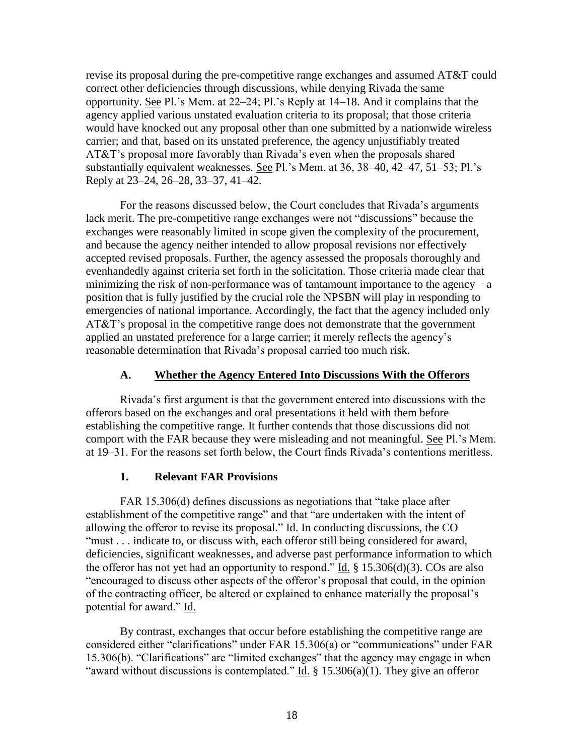revise its proposal during the pre-competitive range exchanges and assumed AT&T could correct other deficiencies through discussions, while denying Rivada the same opportunity. See Pl.'s Mem. at 22–24; Pl.'s Reply at 14–18. And it complains that the agency applied various unstated evaluation criteria to its proposal; that those criteria would have knocked out any proposal other than one submitted by a nationwide wireless carrier; and that, based on its unstated preference, the agency unjustifiably treated AT&T's proposal more favorably than Rivada's even when the proposals shared substantially equivalent weaknesses. See Pl.'s Mem. at 36, 38–40, 42–47, 51–53; Pl.'s Reply at 23–24, 26–28, 33–37, 41–42.

For the reasons discussed below, the Court concludes that Rivada's arguments lack merit. The pre-competitive range exchanges were not "discussions" because the exchanges were reasonably limited in scope given the complexity of the procurement, and because the agency neither intended to allow proposal revisions nor effectively accepted revised proposals. Further, the agency assessed the proposals thoroughly and evenhandedly against criteria set forth in the solicitation. Those criteria made clear that minimizing the risk of non-performance was of tantamount importance to the agency—a position that is fully justified by the crucial role the NPSBN will play in responding to emergencies of national importance. Accordingly, the fact that the agency included only AT&T's proposal in the competitive range does not demonstrate that the government applied an unstated preference for a large carrier; it merely reflects the agency's reasonable determination that Rivada's proposal carried too much risk.

#### **A. Whether the Agency Entered Into Discussions With the Offerors**

Rivada's first argument is that the government entered into discussions with the offerors based on the exchanges and oral presentations it held with them before establishing the competitive range. It further contends that those discussions did not comport with the FAR because they were misleading and not meaningful. See Pl.'s Mem. at 19–31. For the reasons set forth below, the Court finds Rivada's contentions meritless.

#### **1. Relevant FAR Provisions**

FAR 15.306(d) defines discussions as negotiations that "take place after establishment of the competitive range" and that "are undertaken with the intent of allowing the offeror to revise its proposal." Id. In conducting discussions, the CO "must . . . indicate to, or discuss with, each offeror still being considered for award, deficiencies, significant weaknesses, and adverse past performance information to which the offeror has not yet had an opportunity to respond." Id. § 15.306(d)(3). COs are also "encouraged to discuss other aspects of the offeror's proposal that could, in the opinion of the contracting officer, be altered or explained to enhance materially the proposal's potential for award." Id.

By contrast, exchanges that occur before establishing the competitive range are considered either "clarifications" under FAR 15.306(a) or "communications" under FAR 15.306(b). "Clarifications" are "limited exchanges" that the agency may engage in when "award without discussions is contemplated." Id.  $\S$  15.306(a)(1). They give an offeror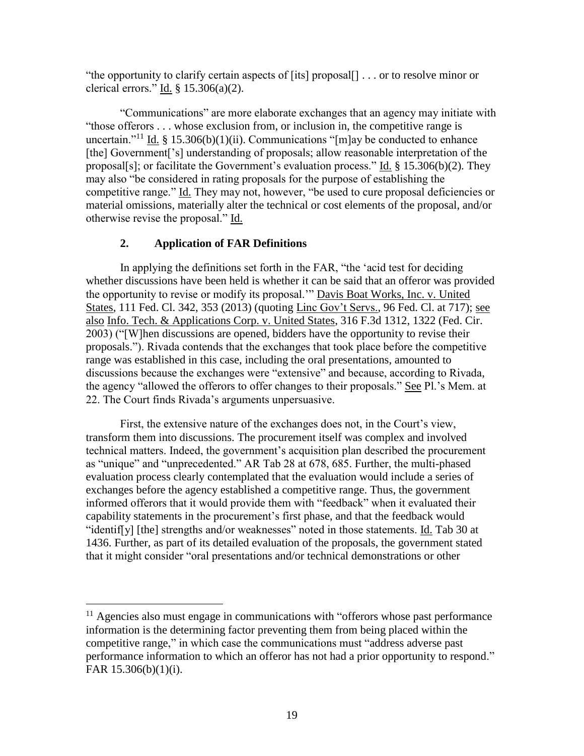"the opportunity to clarify certain aspects of [its] proposal[] . . . or to resolve minor or clerical errors." Id.  $\S$  15.306(a)(2).

"Communications" are more elaborate exchanges that an agency may initiate with "those offerors . . . whose exclusion from, or inclusion in, the competitive range is uncertain."<sup>11</sup> Id. § 15.306(b)(1)(ii). Communications "[m]ay be conducted to enhance [the] Government['s] understanding of proposals; allow reasonable interpretation of the proposal[s]; or facilitate the Government's evaluation process." Id. § 15.306(b)(2). They may also "be considered in rating proposals for the purpose of establishing the competitive range." Id. They may not, however, "be used to cure proposal deficiencies or material omissions, materially alter the technical or cost elements of the proposal, and/or otherwise revise the proposal." Id.

# **2. Application of FAR Definitions**

In applying the definitions set forth in the FAR, "the 'acid test for deciding whether discussions have been held is whether it can be said that an offeror was provided the opportunity to revise or modify its proposal.'" Davis Boat Works, Inc. v. United States, 111 Fed. Cl. 342, 353 (2013) (quoting Linc Gov't Servs., 96 Fed. Cl. at 717); see also Info. Tech. & Applications Corp. v. United States, 316 F.3d 1312, 1322 (Fed. Cir. 2003) ("[W]hen discussions are opened, bidders have the opportunity to revise their proposals."). Rivada contends that the exchanges that took place before the competitive range was established in this case, including the oral presentations, amounted to discussions because the exchanges were "extensive" and because, according to Rivada, the agency "allowed the offerors to offer changes to their proposals." See Pl.'s Mem. at 22. The Court finds Rivada's arguments unpersuasive.

First, the extensive nature of the exchanges does not, in the Court's view, transform them into discussions. The procurement itself was complex and involved technical matters. Indeed, the government's acquisition plan described the procurement as "unique" and "unprecedented." AR Tab 28 at 678, 685. Further, the multi-phased evaluation process clearly contemplated that the evaluation would include a series of exchanges before the agency established a competitive range. Thus, the government informed offerors that it would provide them with "feedback" when it evaluated their capability statements in the procurement's first phase, and that the feedback would "identif[y] [the] strengths and/or weaknesses" noted in those statements. Id. Tab 30 at 1436. Further, as part of its detailed evaluation of the proposals, the government stated that it might consider "oral presentations and/or technical demonstrations or other

 $11$  Agencies also must engage in communications with "offerors whose past performance information is the determining factor preventing them from being placed within the competitive range," in which case the communications must "address adverse past performance information to which an offeror has not had a prior opportunity to respond." FAR 15.306(b)(1)(i).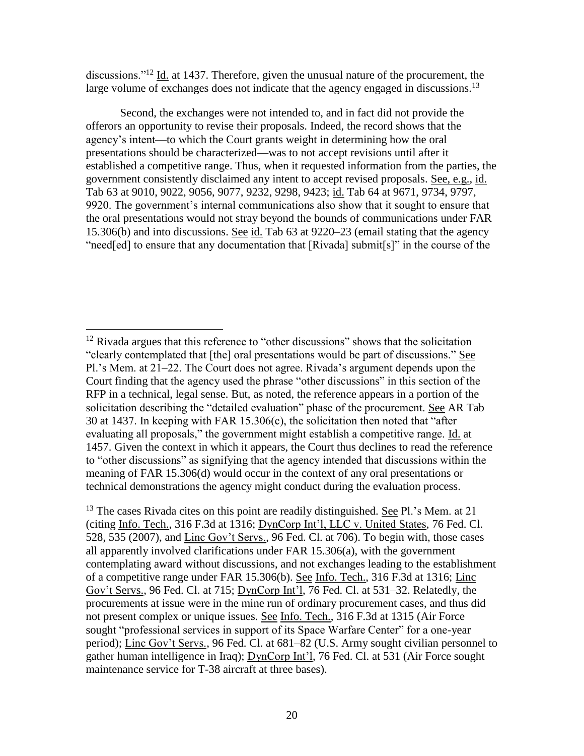discussions."<sup>12</sup> Id. at 1437. Therefore, given the unusual nature of the procurement, the large volume of exchanges does not indicate that the agency engaged in discussions.<sup>13</sup>

Second, the exchanges were not intended to, and in fact did not provide the offerors an opportunity to revise their proposals. Indeed, the record shows that the agency's intent—to which the Court grants weight in determining how the oral presentations should be characterized—was to not accept revisions until after it established a competitive range. Thus, when it requested information from the parties, the government consistently disclaimed any intent to accept revised proposals. See, e.g., id. Tab 63 at 9010, 9022, 9056, 9077, 9232, 9298, 9423; id. Tab 64 at 9671, 9734, 9797, 9920. The government's internal communications also show that it sought to ensure that the oral presentations would not stray beyond the bounds of communications under FAR 15.306(b) and into discussions. See id. Tab 63 at 9220–23 (email stating that the agency "need[ed] to ensure that any documentation that [Rivada] submit[s]" in the course of the

 $\overline{a}$  $12$  Rivada argues that this reference to "other discussions" shows that the solicitation "clearly contemplated that [the] oral presentations would be part of discussions." See Pl.'s Mem. at 21–22. The Court does not agree. Rivada's argument depends upon the Court finding that the agency used the phrase "other discussions" in this section of the RFP in a technical, legal sense. But, as noted, the reference appears in a portion of the solicitation describing the "detailed evaluation" phase of the procurement. See AR Tab 30 at 1437. In keeping with FAR 15.306(c), the solicitation then noted that "after evaluating all proposals," the government might establish a competitive range. Id. at 1457. Given the context in which it appears, the Court thus declines to read the reference to "other discussions" as signifying that the agency intended that discussions within the meaning of FAR 15.306(d) would occur in the context of any oral presentations or technical demonstrations the agency might conduct during the evaluation process.

 $13$  The cases Rivada cites on this point are readily distinguished. See Pl.'s Mem. at 21 (citing Info. Tech., 316 F.3d at 1316; DynCorp Int'l, LLC v. United States, 76 Fed. Cl. 528, 535 (2007), and Linc Gov't Servs., 96 Fed. Cl. at 706). To begin with, those cases all apparently involved clarifications under FAR 15.306(a), with the government contemplating award without discussions, and not exchanges leading to the establishment of a competitive range under FAR 15.306(b). See Info. Tech., 316 F.3d at 1316; Linc Gov't Servs., 96 Fed. Cl. at 715; DynCorp Int'l, 76 Fed. Cl. at 531–32. Relatedly, the procurements at issue were in the mine run of ordinary procurement cases, and thus did not present complex or unique issues. See Info. Tech., 316 F.3d at 1315 (Air Force sought "professional services in support of its Space Warfare Center" for a one-year period); Linc Gov't Servs., 96 Fed. Cl. at 681–82 (U.S. Army sought civilian personnel to gather human intelligence in Iraq); DynCorp Int'l, 76 Fed. Cl. at 531 (Air Force sought maintenance service for T-38 aircraft at three bases).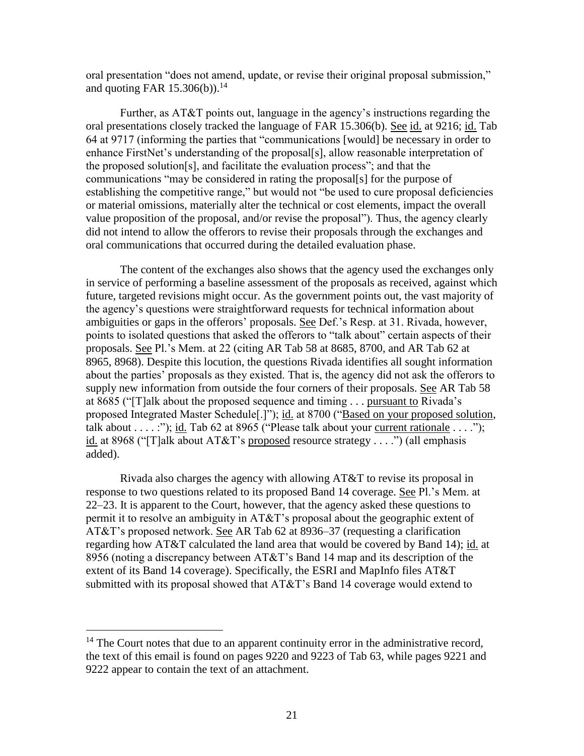oral presentation "does not amend, update, or revise their original proposal submission," and quoting FAR  $15.306(b)$ .<sup>14</sup>

Further, as AT&T points out, language in the agency's instructions regarding the oral presentations closely tracked the language of FAR 15.306(b). See id. at 9216; id. Tab 64 at 9717 (informing the parties that "communications [would] be necessary in order to enhance FirstNet's understanding of the proposal[s], allow reasonable interpretation of the proposed solution[s], and facilitate the evaluation process"; and that the communications "may be considered in rating the proposal[s] for the purpose of establishing the competitive range," but would not "be used to cure proposal deficiencies or material omissions, materially alter the technical or cost elements, impact the overall value proposition of the proposal, and/or revise the proposal"). Thus, the agency clearly did not intend to allow the offerors to revise their proposals through the exchanges and oral communications that occurred during the detailed evaluation phase.

The content of the exchanges also shows that the agency used the exchanges only in service of performing a baseline assessment of the proposals as received, against which future, targeted revisions might occur. As the government points out, the vast majority of the agency's questions were straightforward requests for technical information about ambiguities or gaps in the offerors' proposals. See Def.'s Resp. at 31. Rivada, however, points to isolated questions that asked the offerors to "talk about" certain aspects of their proposals. See Pl.'s Mem. at 22 (citing AR Tab 58 at 8685, 8700, and AR Tab 62 at 8965, 8968). Despite this locution, the questions Rivada identifies all sought information about the parties' proposals as they existed. That is, the agency did not ask the offerors to supply new information from outside the four corners of their proposals. See AR Tab 58 at 8685 ("[T]alk about the proposed sequence and timing . . . pursuant to Rivada's proposed Integrated Master Schedule[.]"); id. at 8700 ("Based on your proposed solution, talk about  $\dots$  :"); id. Tab 62 at 8965 ("Please talk about your current rationale  $\dots$ "); id. at 8968 ("T]alk about AT&T's proposed resource strategy . . . .") (all emphasis added).

Rivada also charges the agency with allowing AT&T to revise its proposal in response to two questions related to its proposed Band 14 coverage. See Pl.'s Mem. at 22–23. It is apparent to the Court, however, that the agency asked these questions to permit it to resolve an ambiguity in AT&T's proposal about the geographic extent of AT&T's proposed network. See AR Tab 62 at 8936–37 (requesting a clarification regarding how AT&T calculated the land area that would be covered by Band 14); id. at 8956 (noting a discrepancy between AT&T's Band 14 map and its description of the extent of its Band 14 coverage). Specifically, the ESRI and MapInfo files AT&T submitted with its proposal showed that AT&T's Band 14 coverage would extend to

 $\overline{a}$ 

 $14$  The Court notes that due to an apparent continuity error in the administrative record, the text of this email is found on pages 9220 and 9223 of Tab 63, while pages 9221 and 9222 appear to contain the text of an attachment.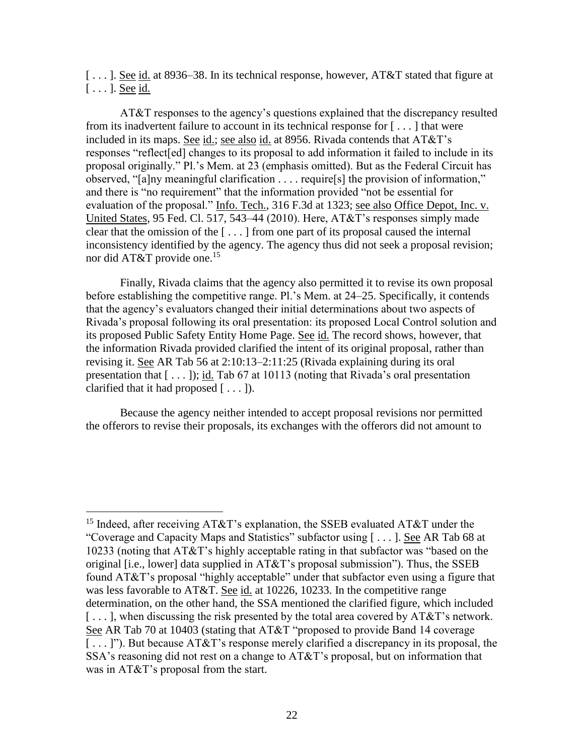[...]. See id. at 8936–38. In its technical response, however, AT&T stated that figure at  $[\ldots]$ . See id.

AT&T responses to the agency's questions explained that the discrepancy resulted from its inadvertent failure to account in its technical response for [ . . . ] that were included in its maps. See id.; see also id. at 8956. Rivada contends that AT&T's responses "reflect[ed] changes to its proposal to add information it failed to include in its proposal originally." Pl.'s Mem. at 23 (emphasis omitted). But as the Federal Circuit has observed, "[a]ny meaningful clarification . . . . require[s] the provision of information," and there is "no requirement" that the information provided "not be essential for evaluation of the proposal." Info. Tech., 316 F.3d at 1323; see also Office Depot, Inc. v. United States, 95 Fed. Cl. 517, 543–44 (2010). Here, AT&T's responses simply made clear that the omission of the [ . . . ] from one part of its proposal caused the internal inconsistency identified by the agency. The agency thus did not seek a proposal revision; nor did AT&T provide one.<sup>15</sup>

Finally, Rivada claims that the agency also permitted it to revise its own proposal before establishing the competitive range. Pl.'s Mem. at 24–25. Specifically, it contends that the agency's evaluators changed their initial determinations about two aspects of Rivada's proposal following its oral presentation: its proposed Local Control solution and its proposed Public Safety Entity Home Page. See id. The record shows, however, that the information Rivada provided clarified the intent of its original proposal, rather than revising it. See AR Tab 56 at 2:10:13–2:11:25 (Rivada explaining during its oral presentation that  $[-, 1]$ ; id. Tab 67 at 10113 (noting that Rivada's oral presentation clarified that it had proposed  $[\ldots]$ .

Because the agency neither intended to accept proposal revisions nor permitted the offerors to revise their proposals, its exchanges with the offerors did not amount to

<sup>&</sup>lt;sup>15</sup> Indeed, after receiving AT&T's explanation, the SSEB evaluated AT&T under the "Coverage and Capacity Maps and Statistics" subfactor using [ . . . ]. See AR Tab 68 at 10233 (noting that AT&T's highly acceptable rating in that subfactor was "based on the original [i.e., lower] data supplied in AT&T's proposal submission"). Thus, the SSEB found AT&T's proposal "highly acceptable" under that subfactor even using a figure that was less favorable to AT&T. See id. at 10226, 10233. In the competitive range determination, on the other hand, the SSA mentioned the clarified figure, which included  $[\ldots]$ , when discussing the risk presented by the total area covered by AT&T's network. See AR Tab 70 at 10403 (stating that AT&T "proposed to provide Band 14 coverage [ . . . ]"). But because AT&T's response merely clarified a discrepancy in its proposal, the SSA's reasoning did not rest on a change to AT&T's proposal, but on information that was in AT&T's proposal from the start.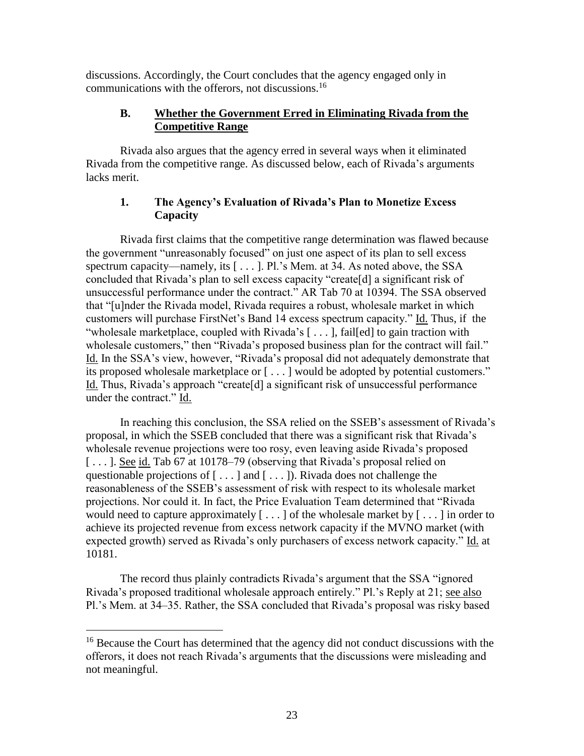discussions. Accordingly, the Court concludes that the agency engaged only in communications with the offerors, not discussions.<sup>16</sup>

# **B. Whether the Government Erred in Eliminating Rivada from the Competitive Range**

Rivada also argues that the agency erred in several ways when it eliminated Rivada from the competitive range. As discussed below, each of Rivada's arguments lacks merit.

# **1. The Agency's Evaluation of Rivada's Plan to Monetize Excess Capacity**

Rivada first claims that the competitive range determination was flawed because the government "unreasonably focused" on just one aspect of its plan to sell excess spectrum capacity—namely, its [...]. Pl.'s Mem. at 34. As noted above, the SSA concluded that Rivada's plan to sell excess capacity "create[d] a significant risk of unsuccessful performance under the contract." AR Tab 70 at 10394. The SSA observed that "[u]nder the Rivada model, Rivada requires a robust, wholesale market in which customers will purchase FirstNet's Band 14 excess spectrum capacity." Id. Thus, if the "wholesale marketplace, coupled with Rivada's [ . . . ], fail[ed] to gain traction with wholesale customers," then "Rivada's proposed business plan for the contract will fail." Id. In the SSA's view, however, "Rivada's proposal did not adequately demonstrate that its proposed wholesale marketplace or [ . . . ] would be adopted by potential customers." Id. Thus, Rivada's approach "create[d] a significant risk of unsuccessful performance under the contract." Id.

In reaching this conclusion, the SSA relied on the SSEB's assessment of Rivada's proposal, in which the SSEB concluded that there was a significant risk that Rivada's wholesale revenue projections were too rosy, even leaving aside Rivada's proposed [...]. See id. Tab 67 at 10178–79 (observing that Rivada's proposal relied on questionable projections of  $[\dots]$  and  $[\dots]$ ). Rivada does not challenge the reasonableness of the SSEB's assessment of risk with respect to its wholesale market projections. Nor could it. In fact, the Price Evaluation Team determined that "Rivada would need to capture approximately  $[\dots]$  of the wholesale market by  $[\dots]$  in order to achieve its projected revenue from excess network capacity if the MVNO market (with expected growth) served as Rivada's only purchasers of excess network capacity." Id. at 10181.

The record thus plainly contradicts Rivada's argument that the SSA "ignored Rivada's proposed traditional wholesale approach entirely." Pl.'s Reply at 21; see also Pl.'s Mem. at 34–35. Rather, the SSA concluded that Rivada's proposal was risky based

 $\overline{a}$ 

<sup>&</sup>lt;sup>16</sup> Because the Court has determined that the agency did not conduct discussions with the offerors, it does not reach Rivada's arguments that the discussions were misleading and not meaningful.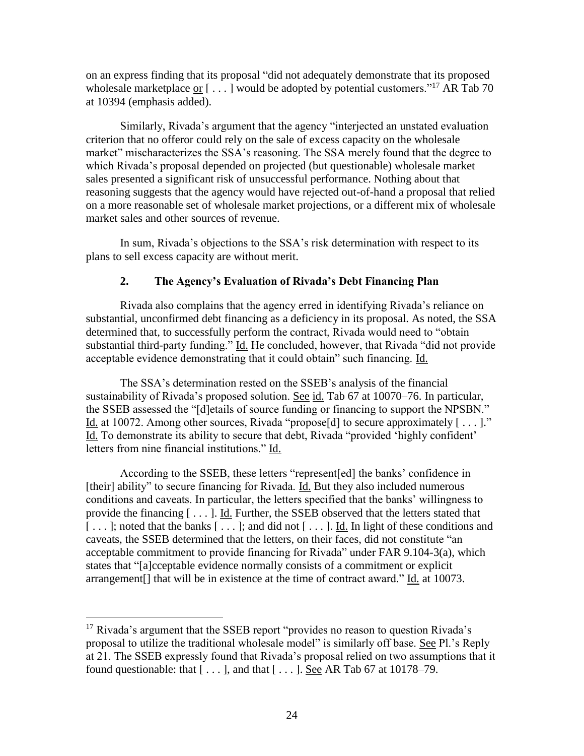on an express finding that its proposal "did not adequately demonstrate that its proposed wholesale marketplace or  $[\dots]$  would be adopted by potential customers."<sup>17</sup> AR Tab 70 at 10394 (emphasis added).

Similarly, Rivada's argument that the agency "interjected an unstated evaluation criterion that no offeror could rely on the sale of excess capacity on the wholesale market" mischaracterizes the SSA's reasoning. The SSA merely found that the degree to which Rivada's proposal depended on projected (but questionable) wholesale market sales presented a significant risk of unsuccessful performance. Nothing about that reasoning suggests that the agency would have rejected out-of-hand a proposal that relied on a more reasonable set of wholesale market projections, or a different mix of wholesale market sales and other sources of revenue.

In sum, Rivada's objections to the SSA's risk determination with respect to its plans to sell excess capacity are without merit.

## **2. The Agency's Evaluation of Rivada's Debt Financing Plan**

Rivada also complains that the agency erred in identifying Rivada's reliance on substantial, unconfirmed debt financing as a deficiency in its proposal. As noted, the SSA determined that, to successfully perform the contract, Rivada would need to "obtain substantial third-party funding." Id. He concluded, however, that Rivada "did not provide acceptable evidence demonstrating that it could obtain" such financing. Id.

The SSA's determination rested on the SSEB's analysis of the financial sustainability of Rivada's proposed solution. See id. Tab 67 at 10070–76. In particular, the SSEB assessed the "[d]etails of source funding or financing to support the NPSBN." Id. at 10072. Among other sources, Rivada "propose[d] to secure approximately  $[\ldots]$ ." Id. To demonstrate its ability to secure that debt, Rivada "provided 'highly confident' letters from nine financial institutions." Id.

According to the SSEB, these letters "represent[ed] the banks' confidence in [their] ability" to secure financing for Rivada. Id. But they also included numerous conditions and caveats. In particular, the letters specified that the banks' willingness to provide the financing [ . . . ]. Id. Further, the SSEB observed that the letters stated that [...]; noted that the banks [...]; and did not [...]. Id. In light of these conditions and caveats, the SSEB determined that the letters, on their faces, did not constitute "an acceptable commitment to provide financing for Rivada" under FAR 9.104-3(a), which states that "[a]cceptable evidence normally consists of a commitment or explicit arrangement[] that will be in existence at the time of contract award." Id. at 10073.

<sup>&</sup>lt;sup>17</sup> Rivada's argument that the SSEB report "provides no reason to question Rivada's proposal to utilize the traditional wholesale model" is similarly off base. See Pl.'s Reply at 21. The SSEB expressly found that Rivada's proposal relied on two assumptions that it found questionable: that  $[\ldots]$ , and that  $[\ldots]$ . See AR Tab 67 at 10178–79.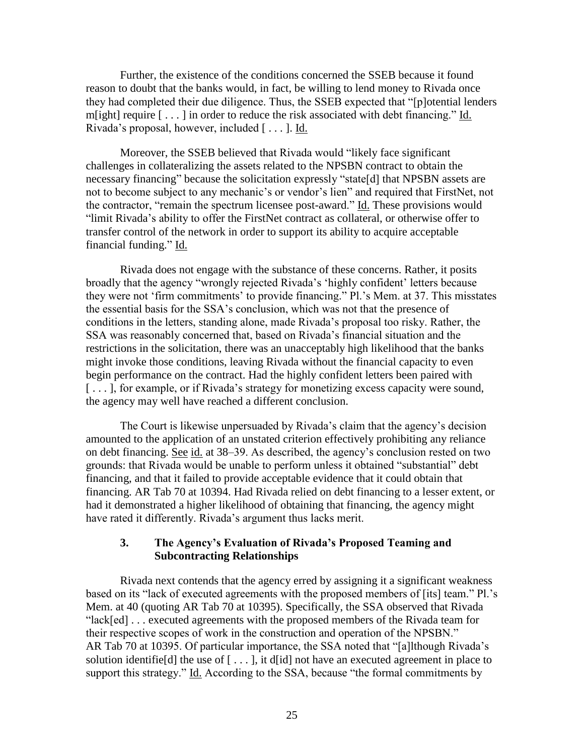Further, the existence of the conditions concerned the SSEB because it found reason to doubt that the banks would, in fact, be willing to lend money to Rivada once they had completed their due diligence. Thus, the SSEB expected that "[p]otential lenders m[ight] require [ . . . ] in order to reduce the risk associated with debt financing." Id. Rivada's proposal, however, included [ . . . ]. Id.

Moreover, the SSEB believed that Rivada would "likely face significant challenges in collateralizing the assets related to the NPSBN contract to obtain the necessary financing" because the solicitation expressly "state[d] that NPSBN assets are not to become subject to any mechanic's or vendor's lien" and required that FirstNet, not the contractor, "remain the spectrum licensee post-award." Id. These provisions would "limit Rivada's ability to offer the FirstNet contract as collateral, or otherwise offer to transfer control of the network in order to support its ability to acquire acceptable financial funding." Id.

Rivada does not engage with the substance of these concerns. Rather, it posits broadly that the agency "wrongly rejected Rivada's 'highly confident' letters because they were not 'firm commitments' to provide financing." Pl.'s Mem. at 37. This misstates the essential basis for the SSA's conclusion, which was not that the presence of conditions in the letters, standing alone, made Rivada's proposal too risky. Rather, the SSA was reasonably concerned that, based on Rivada's financial situation and the restrictions in the solicitation, there was an unacceptably high likelihood that the banks might invoke those conditions, leaving Rivada without the financial capacity to even begin performance on the contract. Had the highly confident letters been paired with [...], for example, or if Rivada's strategy for monetizing excess capacity were sound, the agency may well have reached a different conclusion.

The Court is likewise unpersuaded by Rivada's claim that the agency's decision amounted to the application of an unstated criterion effectively prohibiting any reliance on debt financing. See id. at 38–39. As described, the agency's conclusion rested on two grounds: that Rivada would be unable to perform unless it obtained "substantial" debt financing, and that it failed to provide acceptable evidence that it could obtain that financing. AR Tab 70 at 10394. Had Rivada relied on debt financing to a lesser extent, or had it demonstrated a higher likelihood of obtaining that financing, the agency might have rated it differently. Rivada's argument thus lacks merit.

#### **3. The Agency's Evaluation of Rivada's Proposed Teaming and Subcontracting Relationships**

Rivada next contends that the agency erred by assigning it a significant weakness based on its "lack of executed agreements with the proposed members of [its] team." Pl.'s Mem. at 40 (quoting AR Tab 70 at 10395). Specifically, the SSA observed that Rivada "lack[ed] . . . executed agreements with the proposed members of the Rivada team for their respective scopes of work in the construction and operation of the NPSBN." AR Tab 70 at 10395. Of particular importance, the SSA noted that "[a]lthough Rivada's solution identifie<sup>[d]</sup> the use of  $[\ldots]$ , it d<sup>[id]</sup> not have an executed agreement in place to support this strategy." Id. According to the SSA, because "the formal commitments by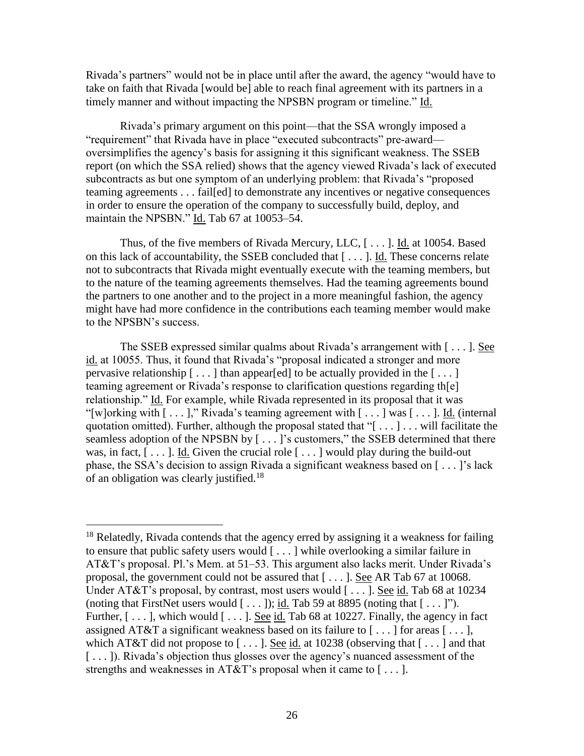Rivada's partners" would not be in place until after the award, the agency "would have to take on faith that Rivada [would be] able to reach final agreement with its partners in a timely manner and without impacting the NPSBN program or timeline." Id.

Rivada's primary argument on this point—that the SSA wrongly imposed a "requirement" that Rivada have in place "executed subcontracts" pre-award oversimplifies the agency's basis for assigning it this significant weakness. The SSEB report (on which the SSA relied) shows that the agency viewed Rivada's lack of executed subcontracts as but one symptom of an underlying problem: that Rivada's "proposed teaming agreements . . . fail[ed] to demonstrate any incentives or negative consequences in order to ensure the operation of the company to successfully build, deploy, and maintain the NPSBN." Id. Tab 67 at 10053–54.

Thus, of the five members of Rivada Mercury, LLC, [ . . . ]. Id. at 10054. Based on this lack of accountability, the SSEB concluded that [ . . . ]. Id. These concerns relate not to subcontracts that Rivada might eventually execute with the teaming members, but to the nature of the teaming agreements themselves. Had the teaming agreements bound the partners to one another and to the project in a more meaningful fashion, the agency might have had more confidence in the contributions each teaming member would make to the NPSBN's success.

The SSEB expressed similar qualms about Rivada's arrangement with [ . . . ]. See id. at 10055. Thus, it found that Rivada's "proposal indicated a stronger and more pervasive relationship  $[\dots]$  than appear[ed] to be actually provided in the  $[\dots]$ teaming agreement or Rivada's response to clarification questions regarding th[e] relationship." Id. For example, while Rivada represented in its proposal that it was "[w]orking with  $[\dots]$ ," Rivada's teaming agreement with  $[\dots]$  was  $[\dots]$ . Id. (internal) quotation omitted). Further, although the proposal stated that " $[\dots] \dots$  will facilitate the seamless adoption of the NPSBN by  $[\dots]$ 's customers," the SSEB determined that there was, in fact,  $[\ldots]$ . Id. Given the crucial role  $[\ldots]$  would play during the build-out phase, the SSA's decision to assign Rivada a significant weakness based on [ . . . ]'s lack of an obligation was clearly justified.<sup>18</sup>

 $\overline{a}$ 

 $18$  Relatedly, Rivada contends that the agency erred by assigning it a weakness for failing to ensure that public safety users would [ . . . ] while overlooking a similar failure in AT&T's proposal. Pl.'s Mem. at 51–53. This argument also lacks merit. Under Rivada's proposal, the government could not be assured that [ . . . ]. See AR Tab 67 at 10068. Under AT&T's proposal, by contrast, most users would  $[\dots]$ . See id. Tab 68 at 10234 (noting that FirstNet users would  $[\ldots]$ ); id. Tab 59 at 8895 (noting that  $[\ldots]$ "). Further,  $[\ldots]$ , which would  $[\ldots]$ . See id. Tab 68 at 10227. Finally, the agency in fact assigned AT&T a significant weakness based on its failure to  $[\ldots]$  for areas  $[\ldots]$ , which AT&T did not propose to  $[\dots]$ . See id. at 10238 (observing that  $[\dots]$  and that [...]). Rivada's objection thus glosses over the agency's nuanced assessment of the strengths and weaknesses in AT&T's proposal when it came to  $[\dots]$ .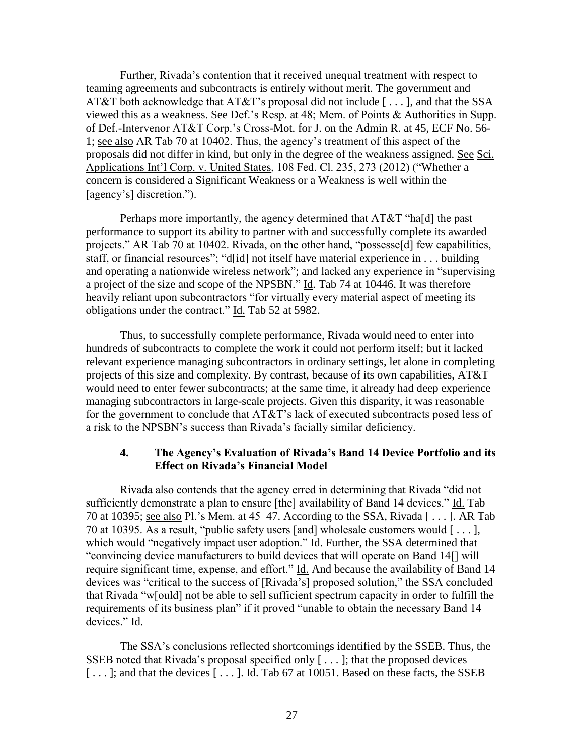Further, Rivada's contention that it received unequal treatment with respect to teaming agreements and subcontracts is entirely without merit. The government and AT&T both acknowledge that AT&T's proposal did not include [ . . . ], and that the SSA viewed this as a weakness. See Def.'s Resp. at 48; Mem. of Points & Authorities in Supp. of Def.-Intervenor AT&T Corp.'s Cross-Mot. for J. on the Admin R. at 45, ECF No. 56- 1; see also AR Tab 70 at 10402. Thus, the agency's treatment of this aspect of the proposals did not differ in kind, but only in the degree of the weakness assigned. See Sci. Applications Int'l Corp. v. United States, 108 Fed. Cl. 235, 273 (2012) ("Whether a concern is considered a Significant Weakness or a Weakness is well within the [agency's] discretion.").

Perhaps more importantly, the agency determined that AT&T "ha[d] the past performance to support its ability to partner with and successfully complete its awarded projects." AR Tab 70 at 10402. Rivada, on the other hand, "possesse[d] few capabilities, staff, or financial resources"; "d[id] not itself have material experience in . . . building and operating a nationwide wireless network"; and lacked any experience in "supervising a project of the size and scope of the NPSBN." Id. Tab 74 at 10446. It was therefore heavily reliant upon subcontractors "for virtually every material aspect of meeting its obligations under the contract." Id. Tab 52 at 5982.

Thus, to successfully complete performance, Rivada would need to enter into hundreds of subcontracts to complete the work it could not perform itself; but it lacked relevant experience managing subcontractors in ordinary settings, let alone in completing projects of this size and complexity. By contrast, because of its own capabilities, AT&T would need to enter fewer subcontracts; at the same time, it already had deep experience managing subcontractors in large-scale projects. Given this disparity, it was reasonable for the government to conclude that AT&T's lack of executed subcontracts posed less of a risk to the NPSBN's success than Rivada's facially similar deficiency.

#### **4. The Agency's Evaluation of Rivada's Band 14 Device Portfolio and its Effect on Rivada's Financial Model**

Rivada also contends that the agency erred in determining that Rivada "did not sufficiently demonstrate a plan to ensure [the] availability of Band 14 devices." Id. Tab 70 at 10395; see also Pl.'s Mem. at 45–47. According to the SSA, Rivada [ . . . ]. AR Tab 70 at 10395. As a result, "public safety users [and] wholesale customers would [ . . . ], which would "negatively impact user adoption." Id. Further, the SSA determined that "convincing device manufacturers to build devices that will operate on Band 14[] will require significant time, expense, and effort." Id. And because the availability of Band 14 devices was "critical to the success of [Rivada's] proposed solution," the SSA concluded that Rivada "w[ould] not be able to sell sufficient spectrum capacity in order to fulfill the requirements of its business plan" if it proved "unable to obtain the necessary Band 14 devices." Id.

The SSA's conclusions reflected shortcomings identified by the SSEB. Thus, the SSEB noted that Rivada's proposal specified only [ . . . ]; that the proposed devices [...]; and that the devices [...]. Id. Tab 67 at 10051. Based on these facts, the SSEB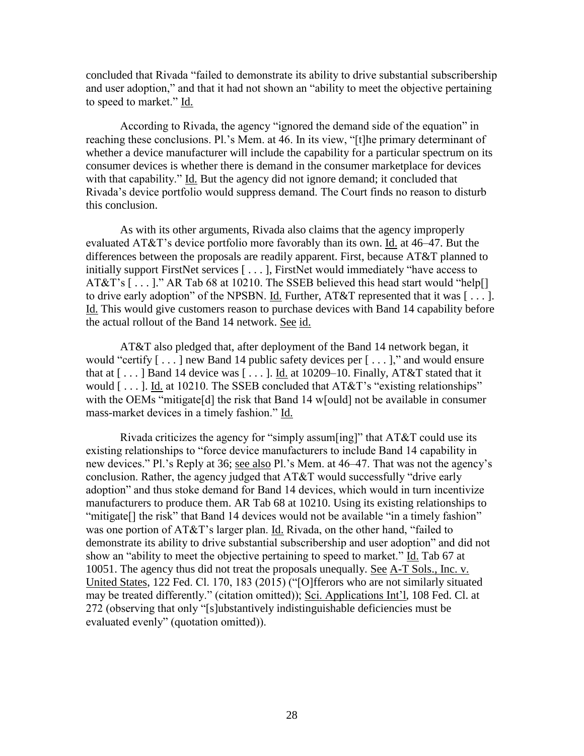concluded that Rivada "failed to demonstrate its ability to drive substantial subscribership and user adoption," and that it had not shown an "ability to meet the objective pertaining to speed to market." Id.

According to Rivada, the agency "ignored the demand side of the equation" in reaching these conclusions. Pl.'s Mem. at 46. In its view, "[t]he primary determinant of whether a device manufacturer will include the capability for a particular spectrum on its consumer devices is whether there is demand in the consumer marketplace for devices with that capability." Id. But the agency did not ignore demand; it concluded that Rivada's device portfolio would suppress demand. The Court finds no reason to disturb this conclusion.

As with its other arguments, Rivada also claims that the agency improperly evaluated AT&T's device portfolio more favorably than its own. Id. at 46–47. But the differences between the proposals are readily apparent. First, because AT&T planned to initially support FirstNet services [ . . . ], FirstNet would immediately "have access to AT&T's  $[\dots]$ ." AR Tab 68 at 10210. The SSEB believed this head start would "help $[]$ to drive early adoption" of the NPSBN. Id. Further, AT&T represented that it was [ . . . ]. Id. This would give customers reason to purchase devices with Band 14 capability before the actual rollout of the Band 14 network. See id.

AT&T also pledged that, after deployment of the Band 14 network began, it would "certify [ . . . ] new Band 14 public safety devices per [ . . . ]," and would ensure that at  $[\dots]$  Band 14 device was  $[\dots]$ . Id. at 10209–10. Finally, AT&T stated that it would  $[\dots]$ . Id. at 10210. The SSEB concluded that AT&T's "existing relationships" with the OEMs "mitigate<sup>[d]</sup> the risk that Band 14 w<sup>[ould]</sup> not be available in consumer mass-market devices in a timely fashion." Id.

Rivada criticizes the agency for "simply assum[ing]" that AT&T could use its existing relationships to "force device manufacturers to include Band 14 capability in new devices." Pl.'s Reply at 36; see also Pl.'s Mem. at 46–47. That was not the agency's conclusion. Rather, the agency judged that AT&T would successfully "drive early adoption" and thus stoke demand for Band 14 devices, which would in turn incentivize manufacturers to produce them. AR Tab 68 at 10210. Using its existing relationships to "mitigate<sup>[]</sup> the risk" that Band 14 devices would not be available "in a timely fashion" was one portion of AT&T's larger plan. Id. Rivada, on the other hand, "failed to demonstrate its ability to drive substantial subscribership and user adoption" and did not show an "ability to meet the objective pertaining to speed to market." Id. Tab 67 at 10051. The agency thus did not treat the proposals unequally. See A-T Sols., Inc. v. United States, 122 Fed. Cl. 170, 183 (2015) ("[O]fferors who are not similarly situated may be treated differently." (citation omitted)); Sci. Applications Int'l, 108 Fed. Cl. at 272 (observing that only "[s]ubstantively indistinguishable deficiencies must be evaluated evenly" (quotation omitted)).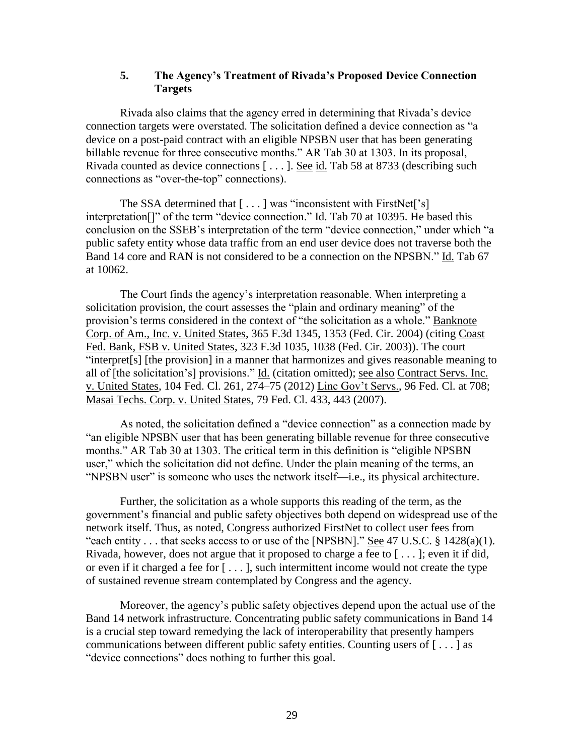#### **5. The Agency's Treatment of Rivada's Proposed Device Connection Targets**

Rivada also claims that the agency erred in determining that Rivada's device connection targets were overstated. The solicitation defined a device connection as "a device on a post-paid contract with an eligible NPSBN user that has been generating billable revenue for three consecutive months." AR Tab 30 at 1303. In its proposal, Rivada counted as device connections [ . . . ]. See id. Tab 58 at 8733 (describing such connections as "over-the-top" connections).

The SSA determined that [...] was "inconsistent with FirstNet['s] interpretation[]" of the term "device connection." Id. Tab 70 at 10395. He based this conclusion on the SSEB's interpretation of the term "device connection," under which "a public safety entity whose data traffic from an end user device does not traverse both the Band 14 core and RAN is not considered to be a connection on the NPSBN." Id. Tab 67 at 10062.

The Court finds the agency's interpretation reasonable. When interpreting a solicitation provision, the court assesses the "plain and ordinary meaning" of the provision's terms considered in the context of "the solicitation as a whole." Banknote Corp. of Am., Inc. v. United States, 365 F.3d 1345, 1353 (Fed. Cir. 2004) (citing Coast Fed. Bank, FSB v. United States, 323 F.3d 1035, 1038 (Fed. Cir. 2003)). The court "interpret[s] [the provision] in a manner that harmonizes and gives reasonable meaning to all of [the solicitation's] provisions." Id. (citation omitted); see also Contract Servs. Inc. v. United States, 104 Fed. Cl. 261, 274–75 (2012) Linc Gov't Servs., 96 Fed. Cl. at 708; Masai Techs. Corp. v. United States, 79 Fed. Cl. 433, 443 (2007).

As noted, the solicitation defined a "device connection" as a connection made by "an eligible NPSBN user that has been generating billable revenue for three consecutive months." AR Tab 30 at 1303. The critical term in this definition is "eligible NPSBN user," which the solicitation did not define. Under the plain meaning of the terms, an "NPSBN user" is someone who uses the network itself—i.e., its physical architecture.

Further, the solicitation as a whole supports this reading of the term, as the government's financial and public safety objectives both depend on widespread use of the network itself. Thus, as noted, Congress authorized FirstNet to collect user fees from "each entity  $\ldots$  that seeks access to or use of the [NPSBN]." See 47 U.S.C. § 1428(a)(1). Rivada, however, does not argue that it proposed to charge a fee to [ . . . ]; even it if did, or even if it charged a fee for [ . . . ], such intermittent income would not create the type of sustained revenue stream contemplated by Congress and the agency.

Moreover, the agency's public safety objectives depend upon the actual use of the Band 14 network infrastructure. Concentrating public safety communications in Band 14 is a crucial step toward remedying the lack of interoperability that presently hampers communications between different public safety entities. Counting users of  $[\dots]$  as "device connections" does nothing to further this goal.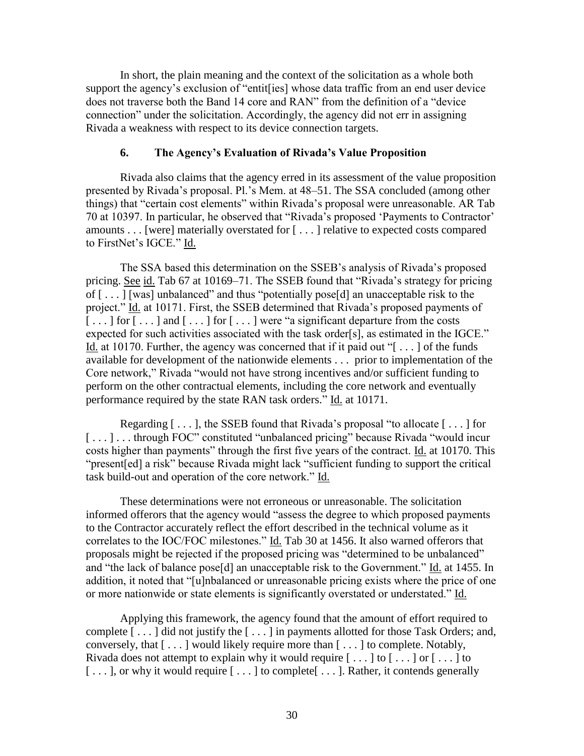In short, the plain meaning and the context of the solicitation as a whole both support the agency's exclusion of "entit[ies] whose data traffic from an end user device does not traverse both the Band 14 core and RAN" from the definition of a "device connection" under the solicitation. Accordingly, the agency did not err in assigning Rivada a weakness with respect to its device connection targets.

#### **6. The Agency's Evaluation of Rivada's Value Proposition**

Rivada also claims that the agency erred in its assessment of the value proposition presented by Rivada's proposal. Pl.'s Mem. at 48–51. The SSA concluded (among other things) that "certain cost elements" within Rivada's proposal were unreasonable. AR Tab 70 at 10397. In particular, he observed that "Rivada's proposed 'Payments to Contractor' amounts . . . [were] materially overstated for [ . . . ] relative to expected costs compared to FirstNet's IGCE." Id.

The SSA based this determination on the SSEB's analysis of Rivada's proposed pricing. See id. Tab 67 at 10169–71. The SSEB found that "Rivada's strategy for pricing of [ . . . ] [was] unbalanced" and thus "potentially pose[d] an unacceptable risk to the project." Id. at 10171. First, the SSEB determined that Rivada's proposed payments of  $[\dots]$  for  $[\dots]$  and  $[\dots]$  for  $[\dots]$  were "a significant departure from the costs expected for such activities associated with the task order[s], as estimated in the IGCE." Id. at 10170. Further, the agency was concerned that if it paid out " $[\dots]$  of the funds available for development of the nationwide elements . . . prior to implementation of the Core network," Rivada "would not have strong incentives and/or sufficient funding to perform on the other contractual elements, including the core network and eventually performance required by the state RAN task orders." Id. at 10171.

Regarding [ . . . ], the SSEB found that Rivada's proposal "to allocate [ . . . ] for [...]...through FOC" constituted "unbalanced pricing" because Rivada "would incur costs higher than payments" through the first five years of the contract. Id. at 10170. This "present[ed] a risk" because Rivada might lack "sufficient funding to support the critical task build-out and operation of the core network." Id.

These determinations were not erroneous or unreasonable. The solicitation informed offerors that the agency would "assess the degree to which proposed payments to the Contractor accurately reflect the effort described in the technical volume as it correlates to the IOC/FOC milestones." Id. Tab 30 at 1456. It also warned offerors that proposals might be rejected if the proposed pricing was "determined to be unbalanced" and "the lack of balance pose[d] an unacceptable risk to the Government." Id. at 1455. In addition, it noted that "[u]nbalanced or unreasonable pricing exists where the price of one or more nationwide or state elements is significantly overstated or understated." Id.

Applying this framework, the agency found that the amount of effort required to complete [ . . . ] did not justify the [ . . . ] in payments allotted for those Task Orders; and, conversely, that [ . . . ] would likely require more than [ . . . ] to complete. Notably, Rivada does not attempt to explain why it would require  $[\ldots]$  to  $[\ldots]$  or  $[\ldots]$  to [...], or why it would require [...] to complete [...]. Rather, it contends generally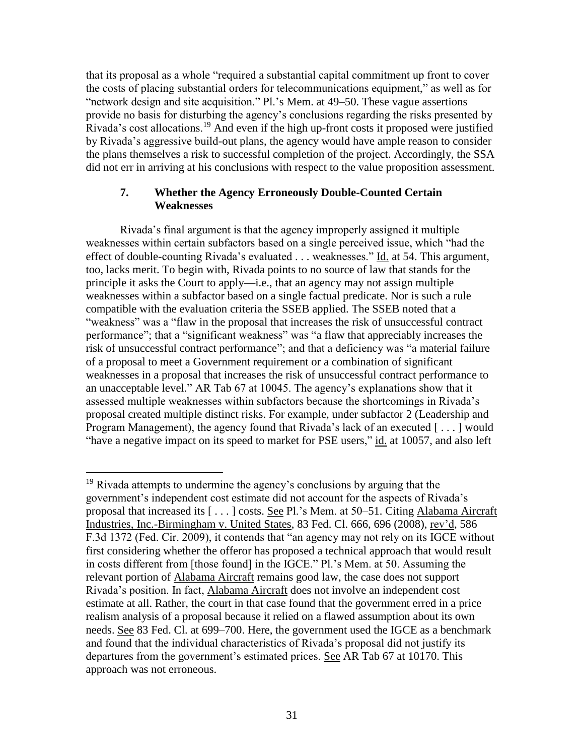that its proposal as a whole "required a substantial capital commitment up front to cover the costs of placing substantial orders for telecommunications equipment," as well as for "network design and site acquisition." Pl.'s Mem. at 49–50. These vague assertions provide no basis for disturbing the agency's conclusions regarding the risks presented by Rivada's cost allocations.<sup>19</sup> And even if the high up-front costs it proposed were justified by Rivada's aggressive build-out plans, the agency would have ample reason to consider the plans themselves a risk to successful completion of the project. Accordingly, the SSA did not err in arriving at his conclusions with respect to the value proposition assessment.

#### **7. Whether the Agency Erroneously Double-Counted Certain Weaknesses**

Rivada's final argument is that the agency improperly assigned it multiple weaknesses within certain subfactors based on a single perceived issue, which "had the effect of double-counting Rivada's evaluated . . . weaknesses." Id. at 54. This argument, too, lacks merit. To begin with, Rivada points to no source of law that stands for the principle it asks the Court to apply—i.e., that an agency may not assign multiple weaknesses within a subfactor based on a single factual predicate. Nor is such a rule compatible with the evaluation criteria the SSEB applied. The SSEB noted that a "weakness" was a "flaw in the proposal that increases the risk of unsuccessful contract performance"; that a "significant weakness" was "a flaw that appreciably increases the risk of unsuccessful contract performance"; and that a deficiency was "a material failure of a proposal to meet a Government requirement or a combination of significant weaknesses in a proposal that increases the risk of unsuccessful contract performance to an unacceptable level." AR Tab 67 at 10045. The agency's explanations show that it assessed multiple weaknesses within subfactors because the shortcomings in Rivada's proposal created multiple distinct risks. For example, under subfactor 2 (Leadership and Program Management), the agency found that Rivada's lack of an executed [...] would "have a negative impact on its speed to market for PSE users," id. at 10057, and also left

 $\overline{a}$ <sup>19</sup> Rivada attempts to undermine the agency's conclusions by arguing that the government's independent cost estimate did not account for the aspects of Rivada's proposal that increased its [ . . . ] costs. See Pl.'s Mem. at 50–51. Citing Alabama Aircraft Industries, Inc.-Birmingham v. United States, 83 Fed. Cl. 666, 696 (2008), rev'd, 586 F.3d 1372 (Fed. Cir. 2009), it contends that "an agency may not rely on its IGCE without first considering whether the offeror has proposed a technical approach that would result in costs different from [those found] in the IGCE." Pl.'s Mem. at 50. Assuming the relevant portion of Alabama Aircraft remains good law, the case does not support Rivada's position. In fact, Alabama Aircraft does not involve an independent cost estimate at all. Rather, the court in that case found that the government erred in a price realism analysis of a proposal because it relied on a flawed assumption about its own needs. See 83 Fed. Cl. at 699–700. Here, the government used the IGCE as a benchmark and found that the individual characteristics of Rivada's proposal did not justify its departures from the government's estimated prices. See AR Tab 67 at 10170. This approach was not erroneous.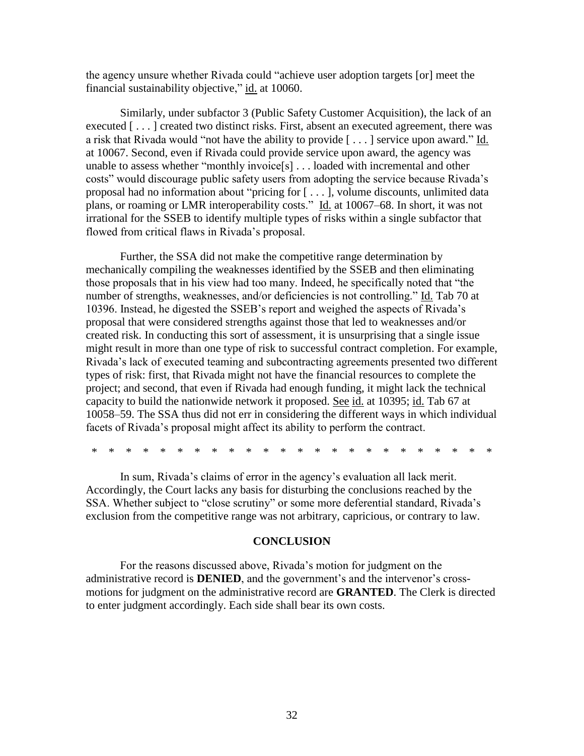the agency unsure whether Rivada could "achieve user adoption targets [or] meet the financial sustainability objective," id. at 10060.

Similarly, under subfactor 3 (Public Safety Customer Acquisition), the lack of an executed [...] created two distinct risks. First, absent an executed agreement, there was a risk that Rivada would "not have the ability to provide [ . . . ] service upon award." Id. at 10067. Second, even if Rivada could provide service upon award, the agency was unable to assess whether "monthly invoice[s] . . . loaded with incremental and other costs" would discourage public safety users from adopting the service because Rivada's proposal had no information about "pricing for [ . . . ], volume discounts, unlimited data plans, or roaming or LMR interoperability costs." Id. at 10067–68. In short, it was not irrational for the SSEB to identify multiple types of risks within a single subfactor that flowed from critical flaws in Rivada's proposal.

Further, the SSA did not make the competitive range determination by mechanically compiling the weaknesses identified by the SSEB and then eliminating those proposals that in his view had too many. Indeed, he specifically noted that "the number of strengths, weaknesses, and/or deficiencies is not controlling." Id. Tab 70 at 10396. Instead, he digested the SSEB's report and weighed the aspects of Rivada's proposal that were considered strengths against those that led to weaknesses and/or created risk. In conducting this sort of assessment, it is unsurprising that a single issue might result in more than one type of risk to successful contract completion. For example, Rivada's lack of executed teaming and subcontracting agreements presented two different types of risk: first, that Rivada might not have the financial resources to complete the project; and second, that even if Rivada had enough funding, it might lack the technical capacity to build the nationwide network it proposed. See id. at 10395; id. Tab 67 at 10058–59. The SSA thus did not err in considering the different ways in which individual facets of Rivada's proposal might affect its ability to perform the contract.

\* \* \* \* \* \* \* \* \* \* \* \* \* \* \* \* \* \* \* \* \* \* \* \*

In sum, Rivada's claims of error in the agency's evaluation all lack merit. Accordingly, the Court lacks any basis for disturbing the conclusions reached by the SSA. Whether subject to "close scrutiny" or some more deferential standard, Rivada's exclusion from the competitive range was not arbitrary, capricious, or contrary to law.

#### **CONCLUSION**

For the reasons discussed above, Rivada's motion for judgment on the administrative record is **DENIED**, and the government's and the intervenor's crossmotions for judgment on the administrative record are **GRANTED**. The Clerk is directed to enter judgment accordingly. Each side shall bear its own costs.